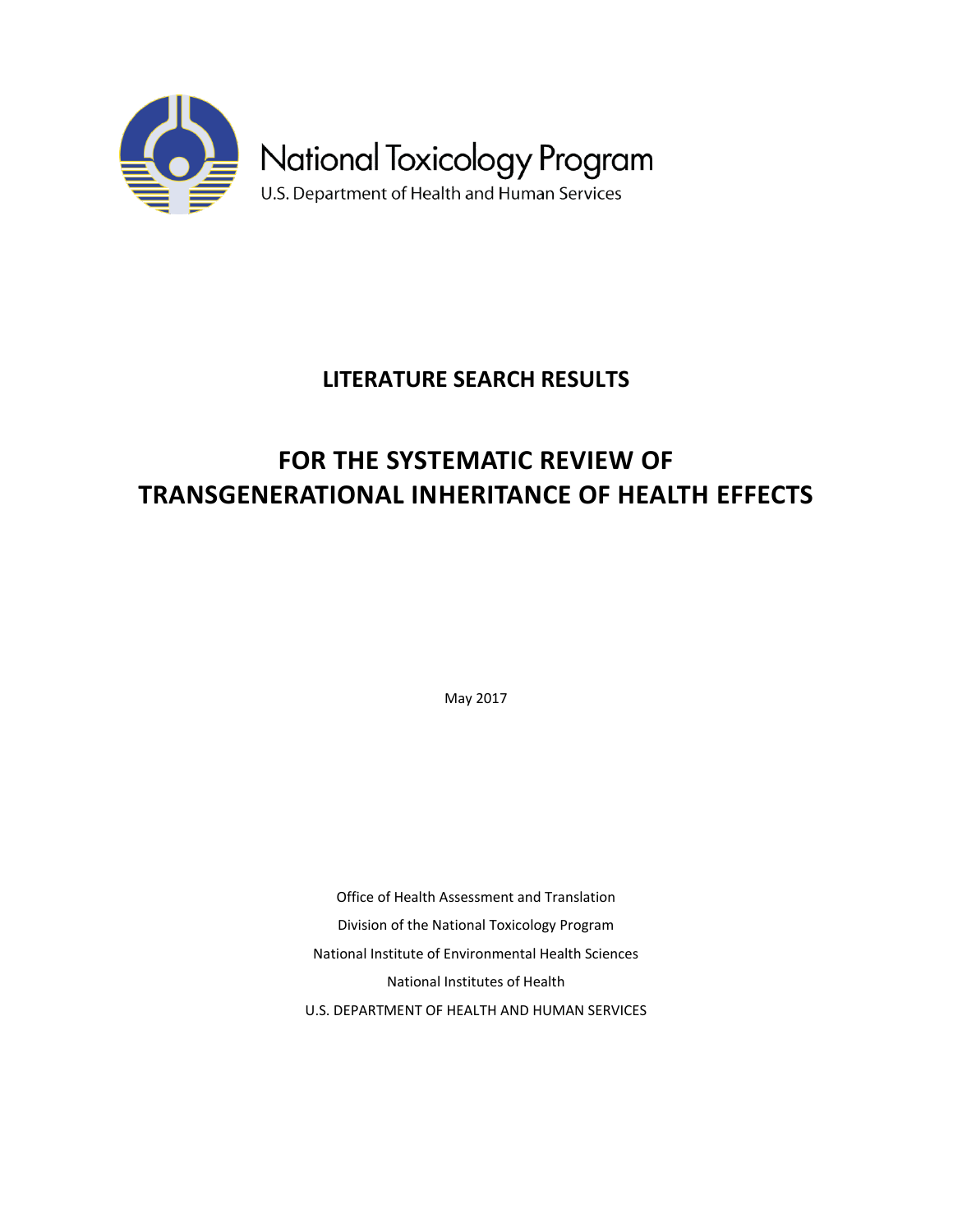

## **LITERATURE SEARCH RESULTS**

# **FOR THE SYSTEMATIC REVIEW OF TRANSGENERATIONAL INHERITANCE OF HEALTH EFFECTS**

May 2017

Office of Health Assessment and Translation Division of the National Toxicology Program National Institute of Environmental Health Sciences National Institutes of Health U.S. DEPARTMENT OF HEALTH AND HUMAN SERVICES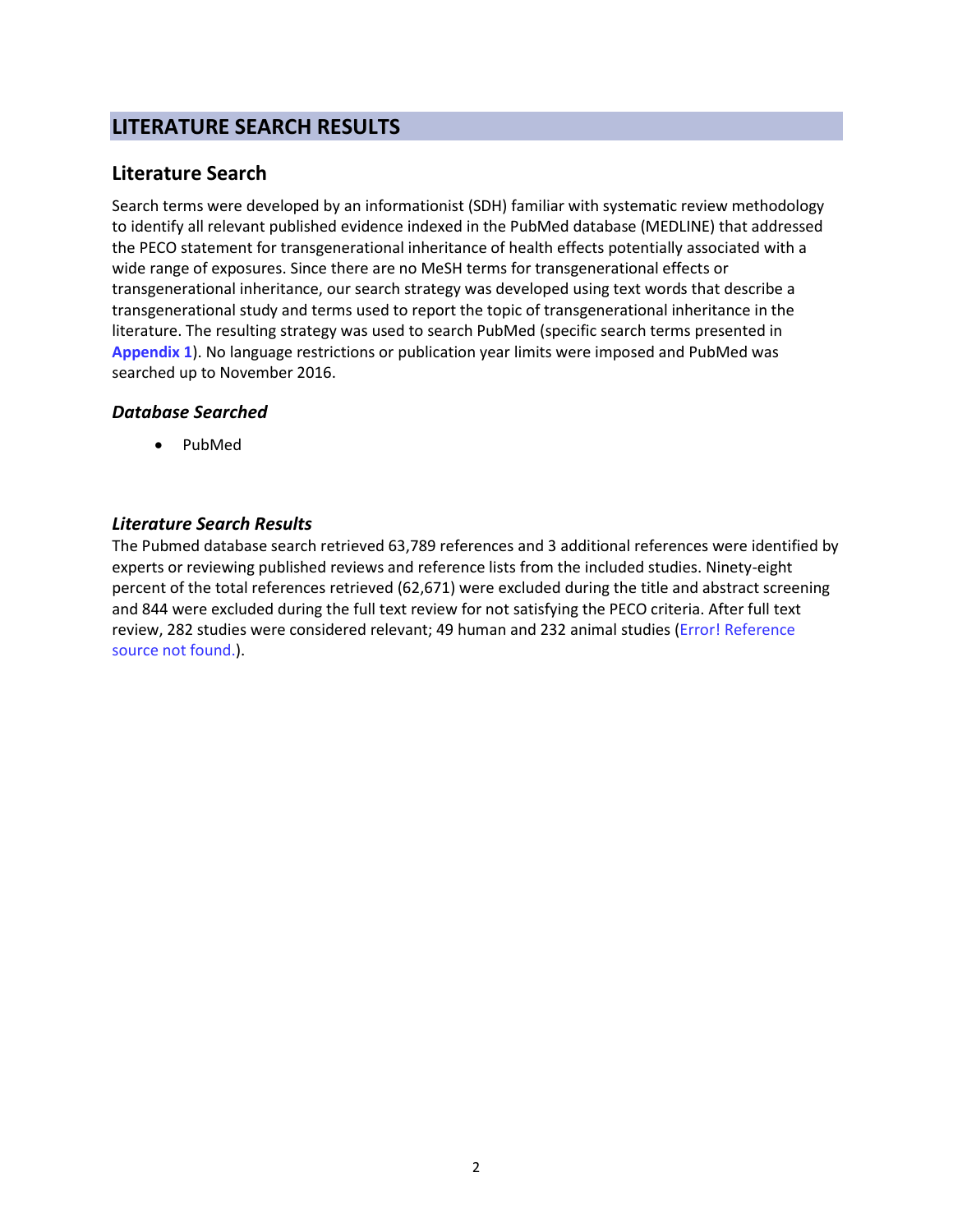## **LITERATURE SEARCH RESULTS**

## **Literature Search**

Search terms were developed by an informationist (SDH) familiar with systematic review methodology to identify all relevant published evidence indexed in the PubMed database (MEDLINE) that addressed the PECO statement for transgenerational inheritance of health effects potentially associated with a wide range of exposures. Since there are no MeSH terms for transgenerational effects or transgenerational inheritance, our search strategy was developed using text words that describe a transgenerational study and terms used to report the topic of transgenerational inheritance in the literature. The resulting strategy was used to search PubMed (specific search terms presented in **Appendix 1**). No language restrictions or publication year limits were imposed and PubMed was searched up to November 2016.

#### *Database Searched*

• PubMed

#### *Literature Search Results*

The Pubmed database search retrieved 63,789 references and 3 additional references were identified by experts or reviewing published reviews and reference lists from the included studies. Ninety-eight percent of the total references retrieved (62,671) were excluded during the title and abstract screening and 844 were excluded during the full text review for not satisfying the PECO criteria. After full text review, 282 studies were considered relevant; 49 human and 232 animal studies (Error! Reference source not found.).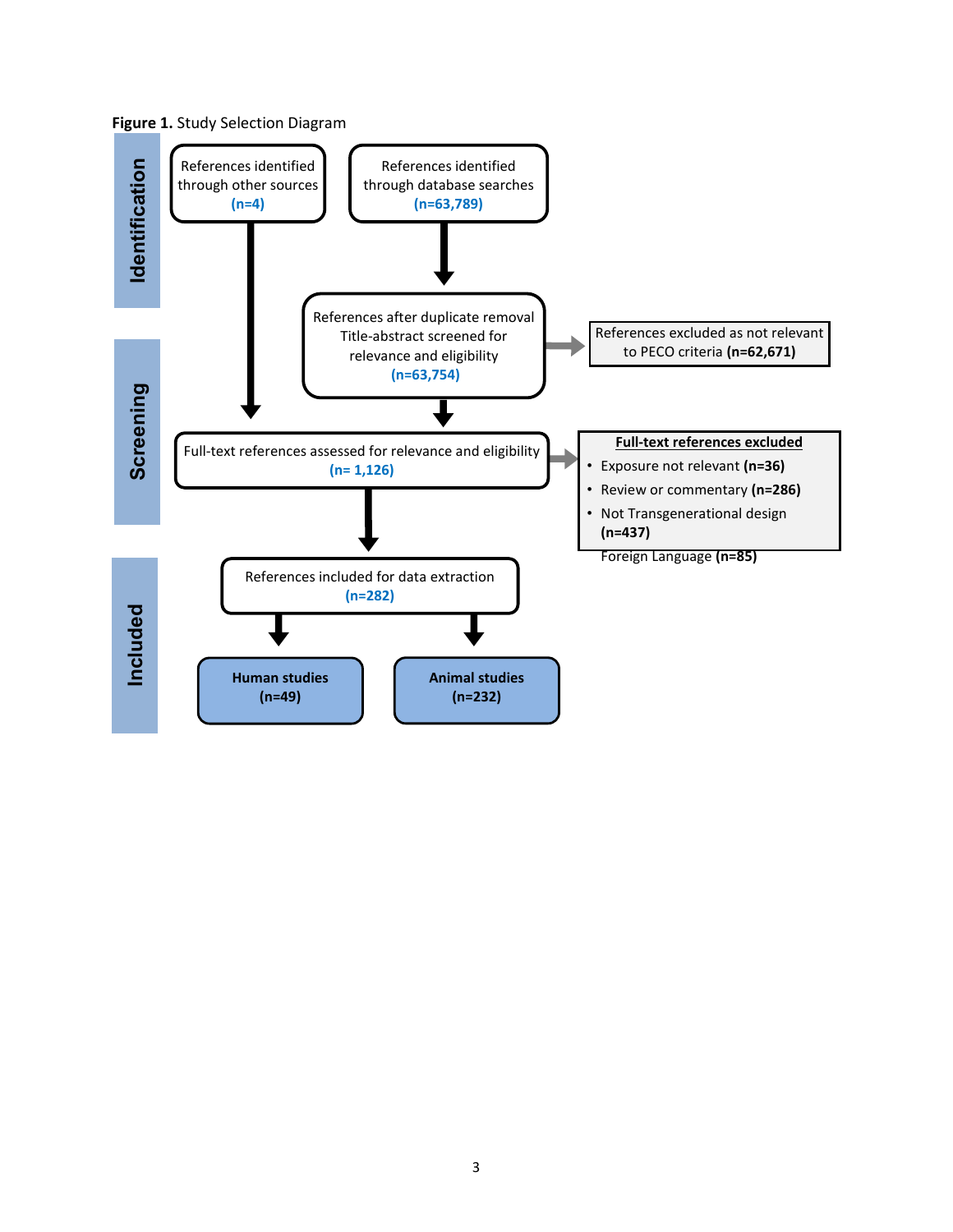

**Figure 1.** Study Selection Diagram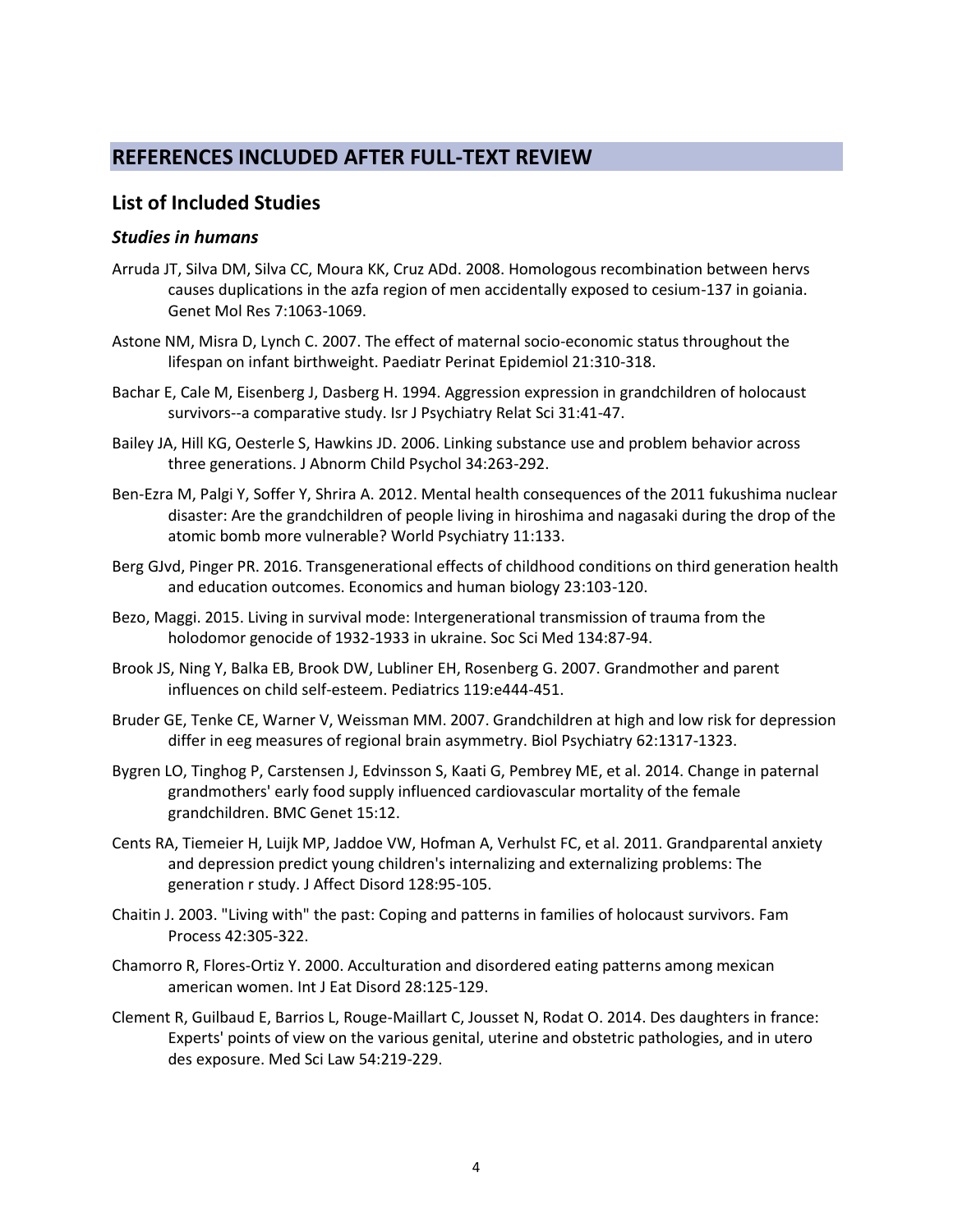## **REFERENCES INCLUDED AFTER FULL-TEXT REVIEW**

#### **List of Included Studies**

#### *Studies in humans*

- Arruda JT, Silva DM, Silva CC, Moura KK, Cruz ADd. 2008. Homologous recombination between hervs causes duplications in the azfa region of men accidentally exposed to cesium-137 in goiania. Genet Mol Res 7:1063-1069.
- Astone NM, Misra D, Lynch C. 2007. The effect of maternal socio-economic status throughout the lifespan on infant birthweight. Paediatr Perinat Epidemiol 21:310-318.
- Bachar E, Cale M, Eisenberg J, Dasberg H. 1994. Aggression expression in grandchildren of holocaust survivors--a comparative study. Isr J Psychiatry Relat Sci 31:41-47.
- Bailey JA, Hill KG, Oesterle S, Hawkins JD. 2006. Linking substance use and problem behavior across three generations. J Abnorm Child Psychol 34:263-292.
- Ben-Ezra M, Palgi Y, Soffer Y, Shrira A. 2012. Mental health consequences of the 2011 fukushima nuclear disaster: Are the grandchildren of people living in hiroshima and nagasaki during the drop of the atomic bomb more vulnerable? World Psychiatry 11:133.
- Berg GJvd, Pinger PR. 2016. Transgenerational effects of childhood conditions on third generation health and education outcomes. Economics and human biology 23:103-120.
- Bezo, Maggi. 2015. Living in survival mode: Intergenerational transmission of trauma from the holodomor genocide of 1932-1933 in ukraine. Soc Sci Med 134:87-94.
- Brook JS, Ning Y, Balka EB, Brook DW, Lubliner EH, Rosenberg G. 2007. Grandmother and parent influences on child self-esteem. Pediatrics 119:e444-451.
- Bruder GE, Tenke CE, Warner V, Weissman MM. 2007. Grandchildren at high and low risk for depression differ in eeg measures of regional brain asymmetry. Biol Psychiatry 62:1317-1323.
- Bygren LO, Tinghog P, Carstensen J, Edvinsson S, Kaati G, Pembrey ME, et al. 2014. Change in paternal grandmothers' early food supply influenced cardiovascular mortality of the female grandchildren. BMC Genet 15:12.
- Cents RA, Tiemeier H, Luijk MP, Jaddoe VW, Hofman A, Verhulst FC, et al. 2011. Grandparental anxiety and depression predict young children's internalizing and externalizing problems: The generation r study. J Affect Disord 128:95-105.
- Chaitin J. 2003. "Living with" the past: Coping and patterns in families of holocaust survivors. Fam Process 42:305-322.
- Chamorro R, Flores-Ortiz Y. 2000. Acculturation and disordered eating patterns among mexican american women. Int J Eat Disord 28:125-129.
- Clement R, Guilbaud E, Barrios L, Rouge-Maillart C, Jousset N, Rodat O. 2014. Des daughters in france: Experts' points of view on the various genital, uterine and obstetric pathologies, and in utero des exposure. Med Sci Law 54:219-229.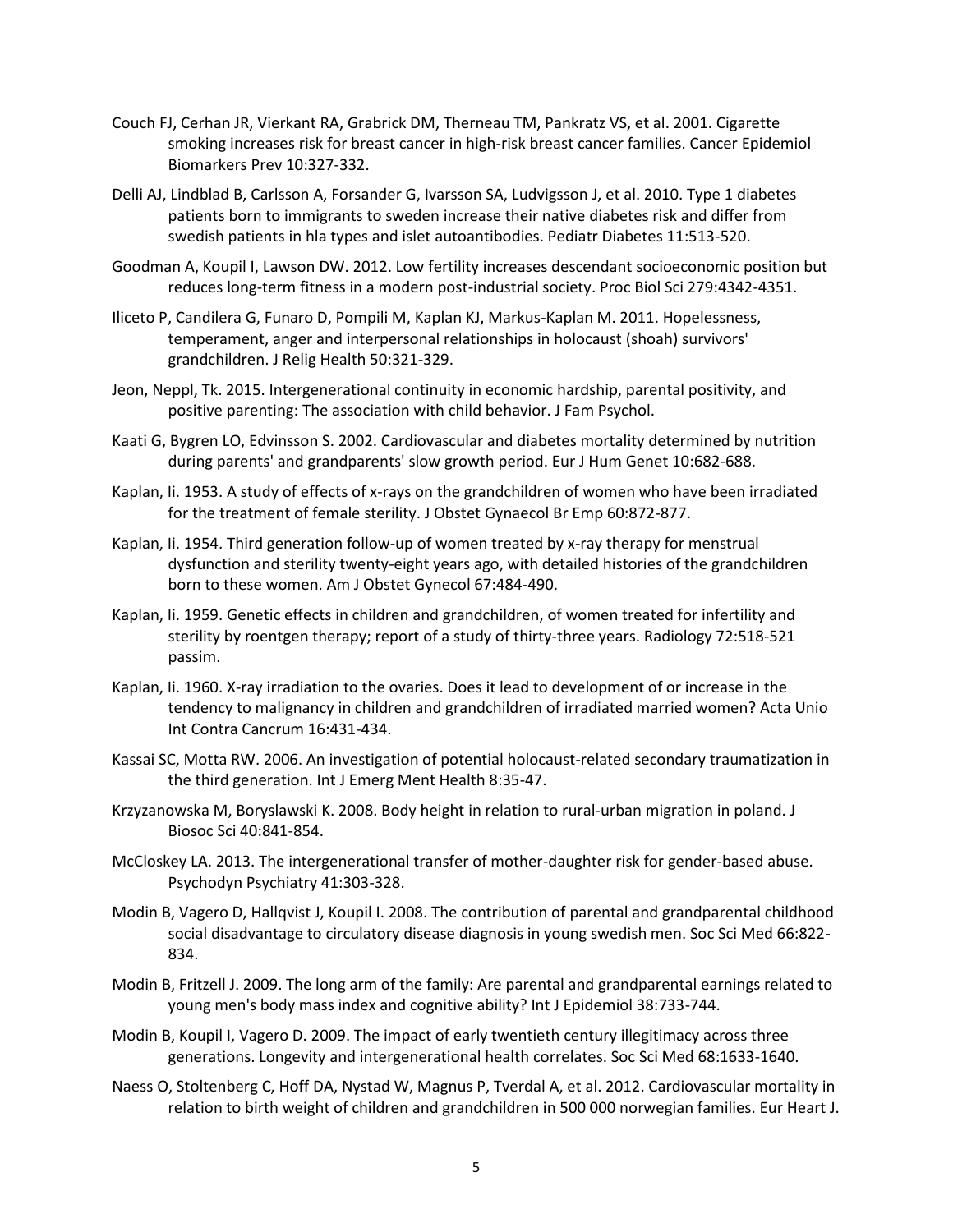- Couch FJ, Cerhan JR, Vierkant RA, Grabrick DM, Therneau TM, Pankratz VS, et al. 2001. Cigarette smoking increases risk for breast cancer in high-risk breast cancer families. Cancer Epidemiol Biomarkers Prev 10:327-332.
- Delli AJ, Lindblad B, Carlsson A, Forsander G, Ivarsson SA, Ludvigsson J, et al. 2010. Type 1 diabetes patients born to immigrants to sweden increase their native diabetes risk and differ from swedish patients in hla types and islet autoantibodies. Pediatr Diabetes 11:513-520.
- Goodman A, Koupil I, Lawson DW. 2012. Low fertility increases descendant socioeconomic position but reduces long-term fitness in a modern post-industrial society. Proc Biol Sci 279:4342-4351.
- Iliceto P, Candilera G, Funaro D, Pompili M, Kaplan KJ, Markus-Kaplan M. 2011. Hopelessness, temperament, anger and interpersonal relationships in holocaust (shoah) survivors' grandchildren. J Relig Health 50:321-329.
- Jeon, Neppl, Tk. 2015. Intergenerational continuity in economic hardship, parental positivity, and positive parenting: The association with child behavior. J Fam Psychol.
- Kaati G, Bygren LO, Edvinsson S. 2002. Cardiovascular and diabetes mortality determined by nutrition during parents' and grandparents' slow growth period. Eur J Hum Genet 10:682-688.
- Kaplan, Ii. 1953. A study of effects of x-rays on the grandchildren of women who have been irradiated for the treatment of female sterility. J Obstet Gynaecol Br Emp 60:872-877.
- Kaplan, Ii. 1954. Third generation follow-up of women treated by x-ray therapy for menstrual dysfunction and sterility twenty-eight years ago, with detailed histories of the grandchildren born to these women. Am J Obstet Gynecol 67:484-490.
- Kaplan, Ii. 1959. Genetic effects in children and grandchildren, of women treated for infertility and sterility by roentgen therapy; report of a study of thirty-three years. Radiology 72:518-521 passim.
- Kaplan, Ii. 1960. X-ray irradiation to the ovaries. Does it lead to development of or increase in the tendency to malignancy in children and grandchildren of irradiated married women? Acta Unio Int Contra Cancrum 16:431-434.
- Kassai SC, Motta RW. 2006. An investigation of potential holocaust-related secondary traumatization in the third generation. Int J Emerg Ment Health 8:35-47.
- Krzyzanowska M, Boryslawski K. 2008. Body height in relation to rural-urban migration in poland. J Biosoc Sci 40:841-854.
- McCloskey LA. 2013. The intergenerational transfer of mother-daughter risk for gender-based abuse. Psychodyn Psychiatry 41:303-328.
- Modin B, Vagero D, Hallqvist J, Koupil I. 2008. The contribution of parental and grandparental childhood social disadvantage to circulatory disease diagnosis in young swedish men. Soc Sci Med 66:822- 834.
- Modin B, Fritzell J. 2009. The long arm of the family: Are parental and grandparental earnings related to young men's body mass index and cognitive ability? Int J Epidemiol 38:733-744.
- Modin B, Koupil I, Vagero D. 2009. The impact of early twentieth century illegitimacy across three generations. Longevity and intergenerational health correlates. Soc Sci Med 68:1633-1640.
- Naess O, Stoltenberg C, Hoff DA, Nystad W, Magnus P, Tverdal A, et al. 2012. Cardiovascular mortality in relation to birth weight of children and grandchildren in 500 000 norwegian families. Eur Heart J.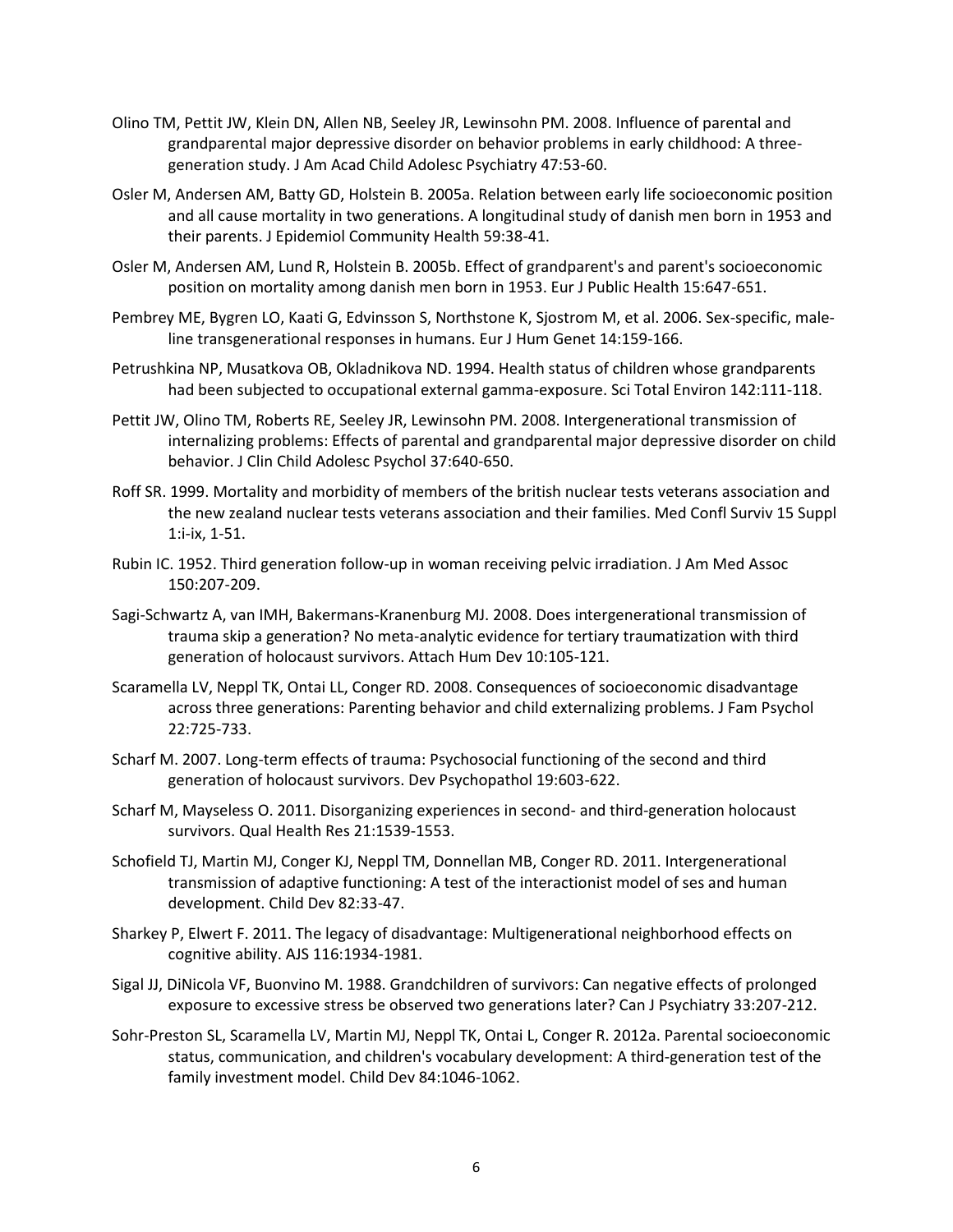- Olino TM, Pettit JW, Klein DN, Allen NB, Seeley JR, Lewinsohn PM. 2008. Influence of parental and grandparental major depressive disorder on behavior problems in early childhood: A threegeneration study. J Am Acad Child Adolesc Psychiatry 47:53-60.
- Osler M, Andersen AM, Batty GD, Holstein B. 2005a. Relation between early life socioeconomic position and all cause mortality in two generations. A longitudinal study of danish men born in 1953 and their parents. J Epidemiol Community Health 59:38-41.
- Osler M, Andersen AM, Lund R, Holstein B. 2005b. Effect of grandparent's and parent's socioeconomic position on mortality among danish men born in 1953. Eur J Public Health 15:647-651.
- Pembrey ME, Bygren LO, Kaati G, Edvinsson S, Northstone K, Sjostrom M, et al. 2006. Sex-specific, maleline transgenerational responses in humans. Eur J Hum Genet 14:159-166.
- Petrushkina NP, Musatkova OB, Okladnikova ND. 1994. Health status of children whose grandparents had been subjected to occupational external gamma-exposure. Sci Total Environ 142:111-118.
- Pettit JW, Olino TM, Roberts RE, Seeley JR, Lewinsohn PM. 2008. Intergenerational transmission of internalizing problems: Effects of parental and grandparental major depressive disorder on child behavior. J Clin Child Adolesc Psychol 37:640-650.
- Roff SR. 1999. Mortality and morbidity of members of the british nuclear tests veterans association and the new zealand nuclear tests veterans association and their families. Med Confl Surviv 15 Suppl 1:i-ix, 1-51.
- Rubin IC. 1952. Third generation follow-up in woman receiving pelvic irradiation. J Am Med Assoc 150:207-209.
- Sagi-Schwartz A, van IMH, Bakermans-Kranenburg MJ. 2008. Does intergenerational transmission of trauma skip a generation? No meta-analytic evidence for tertiary traumatization with third generation of holocaust survivors. Attach Hum Dev 10:105-121.
- Scaramella LV, Neppl TK, Ontai LL, Conger RD. 2008. Consequences of socioeconomic disadvantage across three generations: Parenting behavior and child externalizing problems. J Fam Psychol 22:725-733.
- Scharf M. 2007. Long-term effects of trauma: Psychosocial functioning of the second and third generation of holocaust survivors. Dev Psychopathol 19:603-622.
- Scharf M, Mayseless O. 2011. Disorganizing experiences in second- and third-generation holocaust survivors. Qual Health Res 21:1539-1553.
- Schofield TJ, Martin MJ, Conger KJ, Neppl TM, Donnellan MB, Conger RD. 2011. Intergenerational transmission of adaptive functioning: A test of the interactionist model of ses and human development. Child Dev 82:33-47.
- Sharkey P, Elwert F. 2011. The legacy of disadvantage: Multigenerational neighborhood effects on cognitive ability. AJS 116:1934-1981.
- Sigal JJ, DiNicola VF, Buonvino M. 1988. Grandchildren of survivors: Can negative effects of prolonged exposure to excessive stress be observed two generations later? Can J Psychiatry 33:207-212.
- Sohr-Preston SL, Scaramella LV, Martin MJ, Neppl TK, Ontai L, Conger R. 2012a. Parental socioeconomic status, communication, and children's vocabulary development: A third-generation test of the family investment model. Child Dev 84:1046-1062.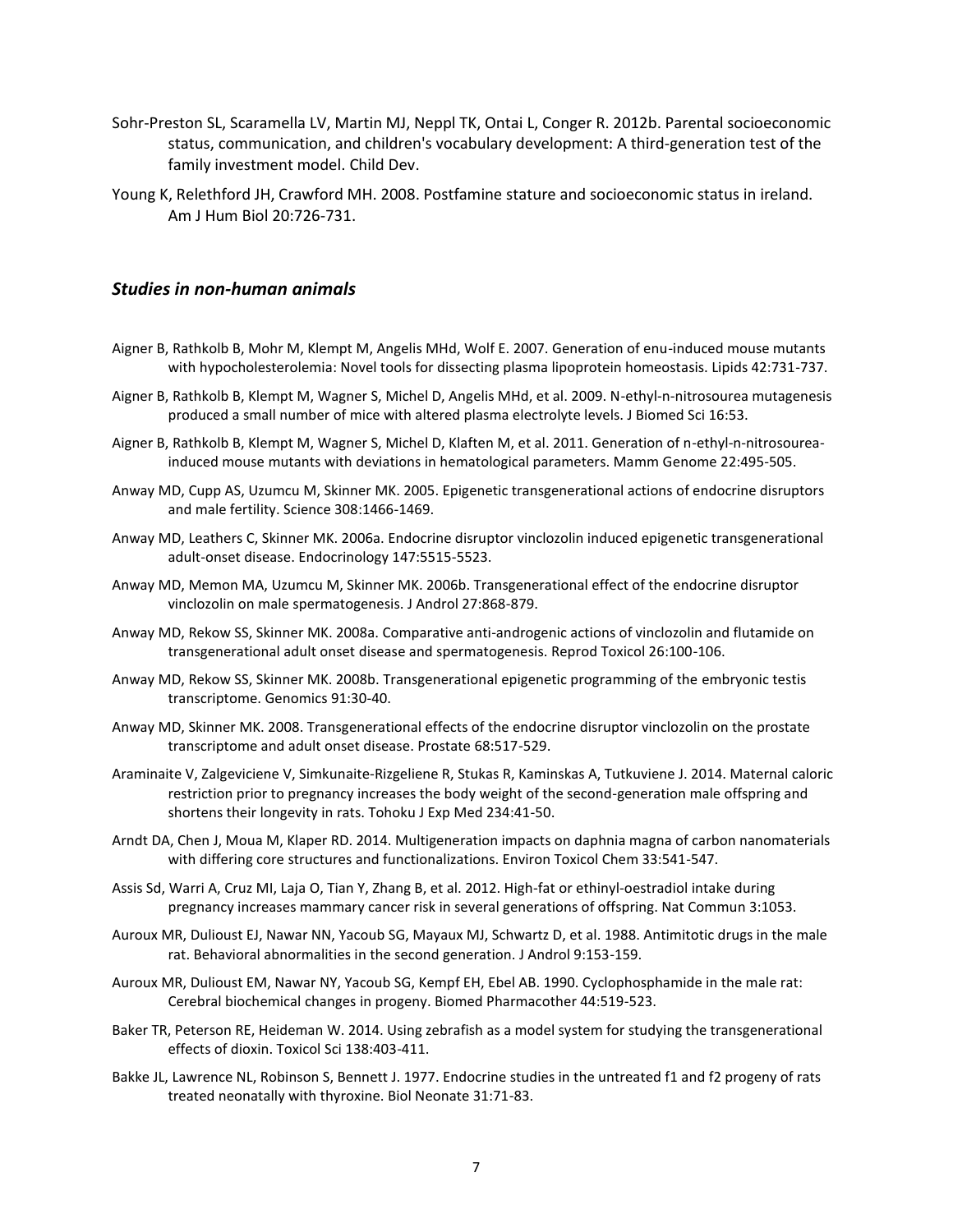- Sohr-Preston SL, Scaramella LV, Martin MJ, Neppl TK, Ontai L, Conger R. 2012b. Parental socioeconomic status, communication, and children's vocabulary development: A third-generation test of the family investment model. Child Dev.
- Young K, Relethford JH, Crawford MH. 2008. Postfamine stature and socioeconomic status in ireland. Am J Hum Biol 20:726-731.

#### *Studies in non-human animals*

- Aigner B, Rathkolb B, Mohr M, Klempt M, Angelis MHd, Wolf E. 2007. Generation of enu-induced mouse mutants with hypocholesterolemia: Novel tools for dissecting plasma lipoprotein homeostasis. Lipids 42:731-737.
- Aigner B, Rathkolb B, Klempt M, Wagner S, Michel D, Angelis MHd, et al. 2009. N-ethyl-n-nitrosourea mutagenesis produced a small number of mice with altered plasma electrolyte levels. J Biomed Sci 16:53.
- Aigner B, Rathkolb B, Klempt M, Wagner S, Michel D, Klaften M, et al. 2011. Generation of n-ethyl-n-nitrosoureainduced mouse mutants with deviations in hematological parameters. Mamm Genome 22:495-505.
- Anway MD, Cupp AS, Uzumcu M, Skinner MK. 2005. Epigenetic transgenerational actions of endocrine disruptors and male fertility. Science 308:1466-1469.
- Anway MD, Leathers C, Skinner MK. 2006a. Endocrine disruptor vinclozolin induced epigenetic transgenerational adult-onset disease. Endocrinology 147:5515-5523.
- Anway MD, Memon MA, Uzumcu M, Skinner MK. 2006b. Transgenerational effect of the endocrine disruptor vinclozolin on male spermatogenesis. J Androl 27:868-879.
- Anway MD, Rekow SS, Skinner MK. 2008a. Comparative anti-androgenic actions of vinclozolin and flutamide on transgenerational adult onset disease and spermatogenesis. Reprod Toxicol 26:100-106.
- Anway MD, Rekow SS, Skinner MK. 2008b. Transgenerational epigenetic programming of the embryonic testis transcriptome. Genomics 91:30-40.
- Anway MD, Skinner MK. 2008. Transgenerational effects of the endocrine disruptor vinclozolin on the prostate transcriptome and adult onset disease. Prostate 68:517-529.
- Araminaite V, Zalgeviciene V, Simkunaite-Rizgeliene R, Stukas R, Kaminskas A, Tutkuviene J. 2014. Maternal caloric restriction prior to pregnancy increases the body weight of the second-generation male offspring and shortens their longevity in rats. Tohoku J Exp Med 234:41-50.
- Arndt DA, Chen J, Moua M, Klaper RD. 2014. Multigeneration impacts on daphnia magna of carbon nanomaterials with differing core structures and functionalizations. Environ Toxicol Chem 33:541-547.
- Assis Sd, Warri A, Cruz MI, Laja O, Tian Y, Zhang B, et al. 2012. High-fat or ethinyl-oestradiol intake during pregnancy increases mammary cancer risk in several generations of offspring. Nat Commun 3:1053.
- Auroux MR, Dulioust EJ, Nawar NN, Yacoub SG, Mayaux MJ, Schwartz D, et al. 1988. Antimitotic drugs in the male rat. Behavioral abnormalities in the second generation. J Androl 9:153-159.
- Auroux MR, Dulioust EM, Nawar NY, Yacoub SG, Kempf EH, Ebel AB. 1990. Cyclophosphamide in the male rat: Cerebral biochemical changes in progeny. Biomed Pharmacother 44:519-523.
- Baker TR, Peterson RE, Heideman W. 2014. Using zebrafish as a model system for studying the transgenerational effects of dioxin. Toxicol Sci 138:403-411.
- Bakke JL, Lawrence NL, Robinson S, Bennett J. 1977. Endocrine studies in the untreated f1 and f2 progeny of rats treated neonatally with thyroxine. Biol Neonate 31:71-83.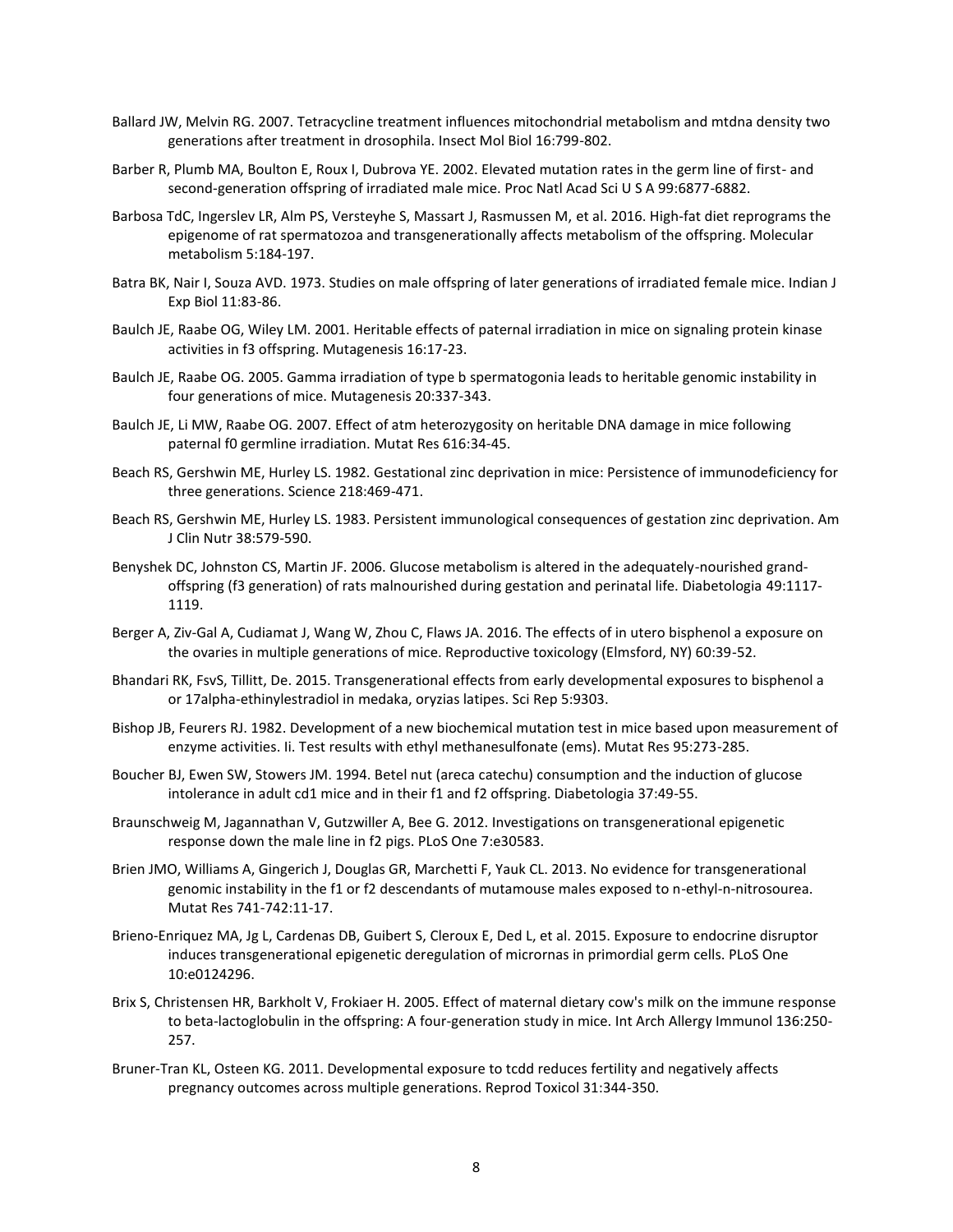- Ballard JW, Melvin RG. 2007. Tetracycline treatment influences mitochondrial metabolism and mtdna density two generations after treatment in drosophila. Insect Mol Biol 16:799-802.
- Barber R, Plumb MA, Boulton E, Roux I, Dubrova YE. 2002. Elevated mutation rates in the germ line of first- and second-generation offspring of irradiated male mice. Proc Natl Acad Sci U S A 99:6877-6882.
- Barbosa TdC, Ingerslev LR, Alm PS, Versteyhe S, Massart J, Rasmussen M, et al. 2016. High-fat diet reprograms the epigenome of rat spermatozoa and transgenerationally affects metabolism of the offspring. Molecular metabolism 5:184-197.
- Batra BK, Nair I, Souza AVD. 1973. Studies on male offspring of later generations of irradiated female mice. Indian J Exp Biol 11:83-86.
- Baulch JE, Raabe OG, Wiley LM. 2001. Heritable effects of paternal irradiation in mice on signaling protein kinase activities in f3 offspring. Mutagenesis 16:17-23.
- Baulch JE, Raabe OG. 2005. Gamma irradiation of type b spermatogonia leads to heritable genomic instability in four generations of mice. Mutagenesis 20:337-343.
- Baulch JE, Li MW, Raabe OG. 2007. Effect of atm heterozygosity on heritable DNA damage in mice following paternal f0 germline irradiation. Mutat Res 616:34-45.
- Beach RS, Gershwin ME, Hurley LS. 1982. Gestational zinc deprivation in mice: Persistence of immunodeficiency for three generations. Science 218:469-471.
- Beach RS, Gershwin ME, Hurley LS. 1983. Persistent immunological consequences of gestation zinc deprivation. Am J Clin Nutr 38:579-590.
- Benyshek DC, Johnston CS, Martin JF. 2006. Glucose metabolism is altered in the adequately-nourished grandoffspring (f3 generation) of rats malnourished during gestation and perinatal life. Diabetologia 49:1117- 1119.
- Berger A, Ziv-Gal A, Cudiamat J, Wang W, Zhou C, Flaws JA. 2016. The effects of in utero bisphenol a exposure on the ovaries in multiple generations of mice. Reproductive toxicology (Elmsford, NY) 60:39-52.
- Bhandari RK, FsvS, Tillitt, De. 2015. Transgenerational effects from early developmental exposures to bisphenol a or 17alpha-ethinylestradiol in medaka, oryzias latipes. Sci Rep 5:9303.
- Bishop JB, Feurers RJ. 1982. Development of a new biochemical mutation test in mice based upon measurement of enzyme activities. Ii. Test results with ethyl methanesulfonate (ems). Mutat Res 95:273-285.
- Boucher BJ, Ewen SW, Stowers JM. 1994. Betel nut (areca catechu) consumption and the induction of glucose intolerance in adult cd1 mice and in their f1 and f2 offspring. Diabetologia 37:49-55.
- Braunschweig M, Jagannathan V, Gutzwiller A, Bee G. 2012. Investigations on transgenerational epigenetic response down the male line in f2 pigs. PLoS One 7:e30583.
- Brien JMO, Williams A, Gingerich J, Douglas GR, Marchetti F, Yauk CL. 2013. No evidence for transgenerational genomic instability in the f1 or f2 descendants of mutamouse males exposed to n-ethyl-n-nitrosourea. Mutat Res 741-742:11-17.
- Brieno-Enriquez MA, Jg L, Cardenas DB, Guibert S, Cleroux E, Ded L, et al. 2015. Exposure to endocrine disruptor induces transgenerational epigenetic deregulation of micrornas in primordial germ cells. PLoS One 10:e0124296.
- Brix S, Christensen HR, Barkholt V, Frokiaer H. 2005. Effect of maternal dietary cow's milk on the immune response to beta-lactoglobulin in the offspring: A four-generation study in mice. Int Arch Allergy Immunol 136:250- 257.
- Bruner-Tran KL, Osteen KG. 2011. Developmental exposure to tcdd reduces fertility and negatively affects pregnancy outcomes across multiple generations. Reprod Toxicol 31:344-350.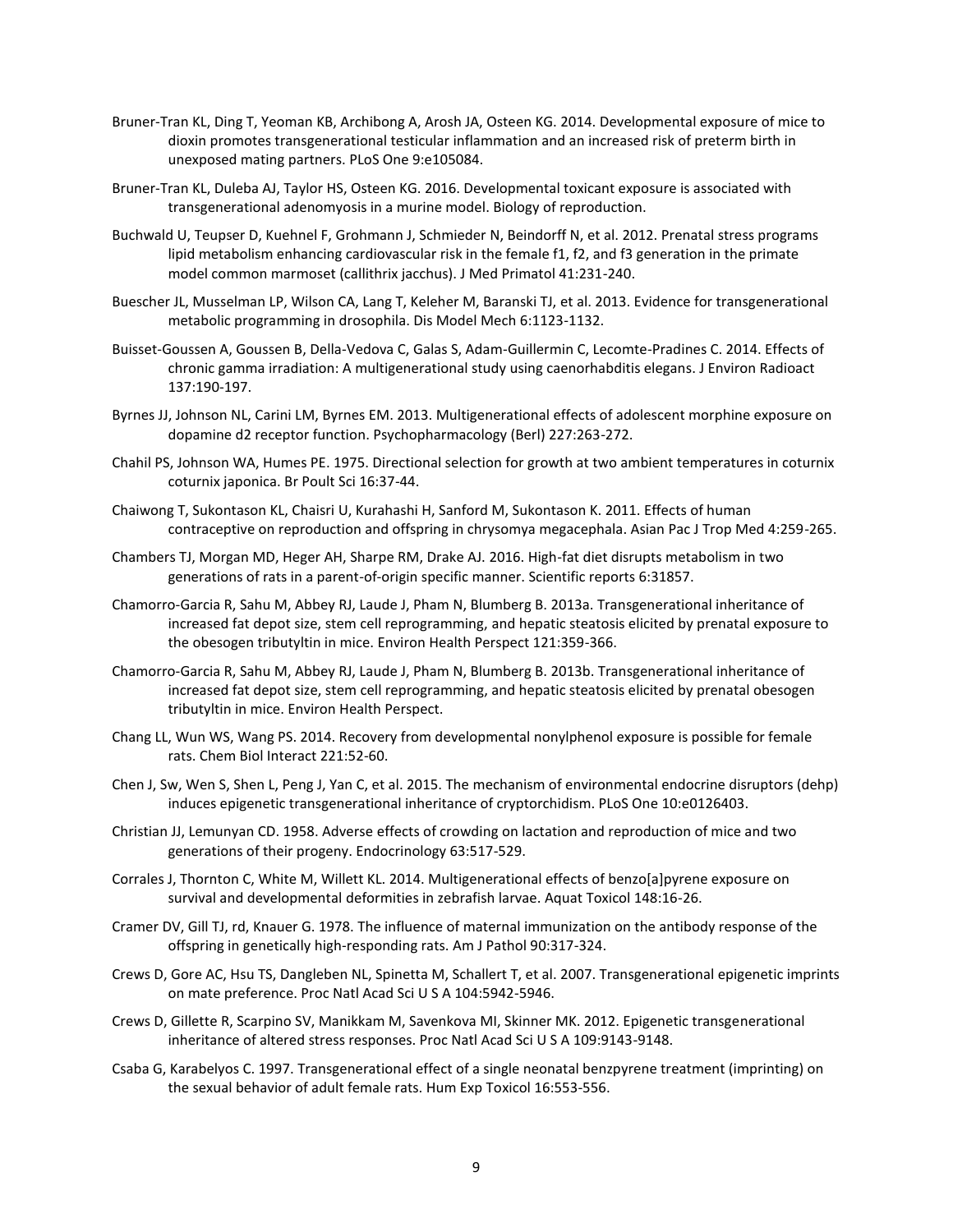- Bruner-Tran KL, Ding T, Yeoman KB, Archibong A, Arosh JA, Osteen KG. 2014. Developmental exposure of mice to dioxin promotes transgenerational testicular inflammation and an increased risk of preterm birth in unexposed mating partners. PLoS One 9:e105084.
- Bruner-Tran KL, Duleba AJ, Taylor HS, Osteen KG. 2016. Developmental toxicant exposure is associated with transgenerational adenomyosis in a murine model. Biology of reproduction.
- Buchwald U, Teupser D, Kuehnel F, Grohmann J, Schmieder N, Beindorff N, et al. 2012. Prenatal stress programs lipid metabolism enhancing cardiovascular risk in the female f1, f2, and f3 generation in the primate model common marmoset (callithrix jacchus). J Med Primatol 41:231-240.
- Buescher JL, Musselman LP, Wilson CA, Lang T, Keleher M, Baranski TJ, et al. 2013. Evidence for transgenerational metabolic programming in drosophila. Dis Model Mech 6:1123-1132.
- Buisset-Goussen A, Goussen B, Della-Vedova C, Galas S, Adam-Guillermin C, Lecomte-Pradines C. 2014. Effects of chronic gamma irradiation: A multigenerational study using caenorhabditis elegans. J Environ Radioact 137:190-197.
- Byrnes JJ, Johnson NL, Carini LM, Byrnes EM. 2013. Multigenerational effects of adolescent morphine exposure on dopamine d2 receptor function. Psychopharmacology (Berl) 227:263-272.
- Chahil PS, Johnson WA, Humes PE. 1975. Directional selection for growth at two ambient temperatures in coturnix coturnix japonica. Br Poult Sci 16:37-44.
- Chaiwong T, Sukontason KL, Chaisri U, Kurahashi H, Sanford M, Sukontason K. 2011. Effects of human contraceptive on reproduction and offspring in chrysomya megacephala. Asian Pac J Trop Med 4:259-265.
- Chambers TJ, Morgan MD, Heger AH, Sharpe RM, Drake AJ. 2016. High-fat diet disrupts metabolism in two generations of rats in a parent-of-origin specific manner. Scientific reports 6:31857.
- Chamorro-Garcia R, Sahu M, Abbey RJ, Laude J, Pham N, Blumberg B. 2013a. Transgenerational inheritance of increased fat depot size, stem cell reprogramming, and hepatic steatosis elicited by prenatal exposure to the obesogen tributyltin in mice. Environ Health Perspect 121:359-366.
- Chamorro-Garcia R, Sahu M, Abbey RJ, Laude J, Pham N, Blumberg B. 2013b. Transgenerational inheritance of increased fat depot size, stem cell reprogramming, and hepatic steatosis elicited by prenatal obesogen tributyltin in mice. Environ Health Perspect.
- Chang LL, Wun WS, Wang PS. 2014. Recovery from developmental nonylphenol exposure is possible for female rats. Chem Biol Interact 221:52-60.
- Chen J, Sw, Wen S, Shen L, Peng J, Yan C, et al. 2015. The mechanism of environmental endocrine disruptors (dehp) induces epigenetic transgenerational inheritance of cryptorchidism. PLoS One 10:e0126403.
- Christian JJ, Lemunyan CD. 1958. Adverse effects of crowding on lactation and reproduction of mice and two generations of their progeny. Endocrinology 63:517-529.
- Corrales J, Thornton C, White M, Willett KL. 2014. Multigenerational effects of benzo[a]pyrene exposure on survival and developmental deformities in zebrafish larvae. Aquat Toxicol 148:16-26.
- Cramer DV, Gill TJ, rd, Knauer G. 1978. The influence of maternal immunization on the antibody response of the offspring in genetically high-responding rats. Am J Pathol 90:317-324.
- Crews D, Gore AC, Hsu TS, Dangleben NL, Spinetta M, Schallert T, et al. 2007. Transgenerational epigenetic imprints on mate preference. Proc Natl Acad Sci U S A 104:5942-5946.
- Crews D, Gillette R, Scarpino SV, Manikkam M, Savenkova MI, Skinner MK. 2012. Epigenetic transgenerational inheritance of altered stress responses. Proc Natl Acad Sci U S A 109:9143-9148.
- Csaba G, Karabelyos C. 1997. Transgenerational effect of a single neonatal benzpyrene treatment (imprinting) on the sexual behavior of adult female rats. Hum Exp Toxicol 16:553-556.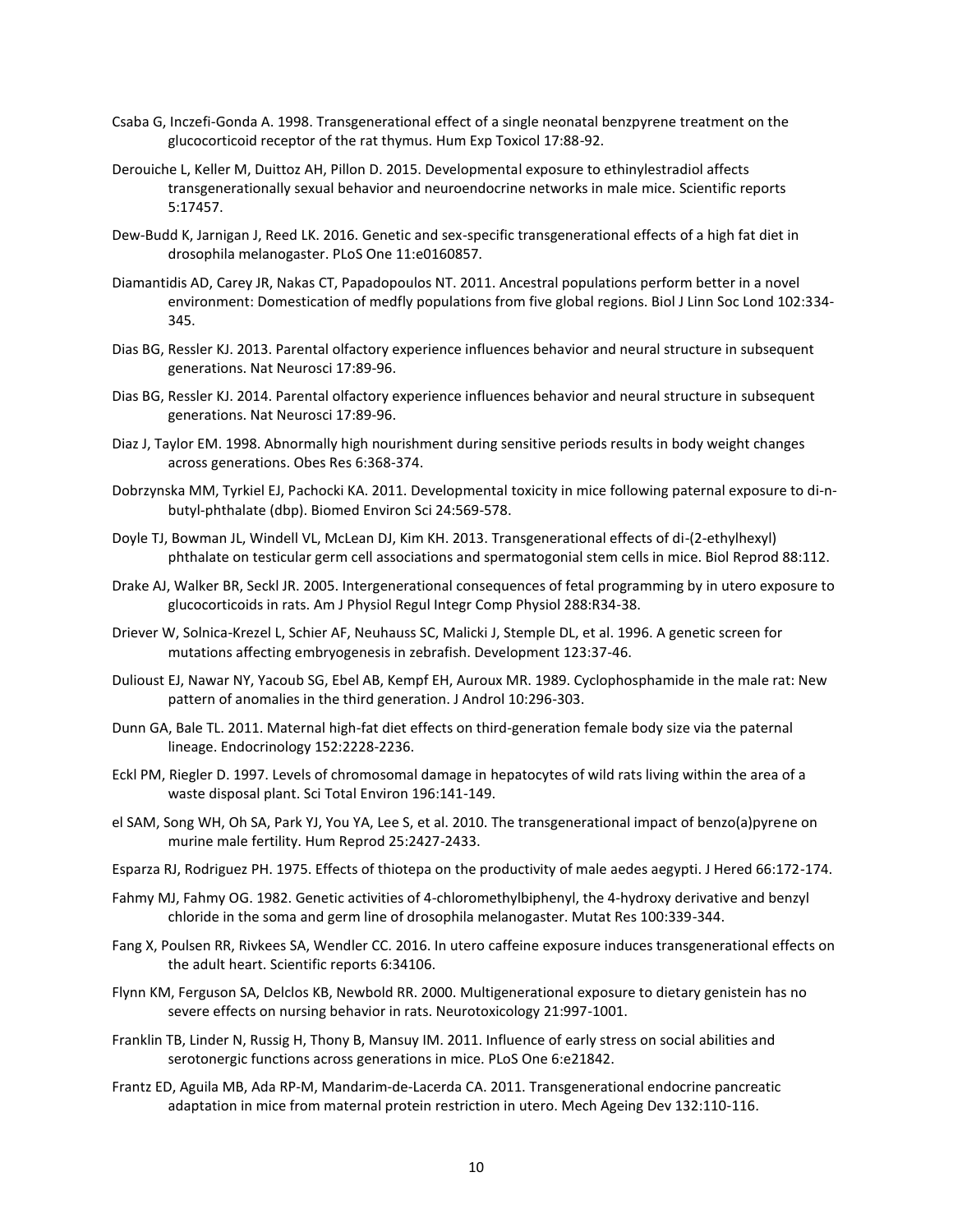- Csaba G, Inczefi-Gonda A. 1998. Transgenerational effect of a single neonatal benzpyrene treatment on the glucocorticoid receptor of the rat thymus. Hum Exp Toxicol 17:88-92.
- Derouiche L, Keller M, Duittoz AH, Pillon D. 2015. Developmental exposure to ethinylestradiol affects transgenerationally sexual behavior and neuroendocrine networks in male mice. Scientific reports 5:17457.
- Dew-Budd K, Jarnigan J, Reed LK. 2016. Genetic and sex-specific transgenerational effects of a high fat diet in drosophila melanogaster. PLoS One 11:e0160857.
- Diamantidis AD, Carey JR, Nakas CT, Papadopoulos NT. 2011. Ancestral populations perform better in a novel environment: Domestication of medfly populations from five global regions. Biol J Linn Soc Lond 102:334- 345.
- Dias BG, Ressler KJ. 2013. Parental olfactory experience influences behavior and neural structure in subsequent generations. Nat Neurosci 17:89-96.
- Dias BG, Ressler KJ. 2014. Parental olfactory experience influences behavior and neural structure in subsequent generations. Nat Neurosci 17:89-96.
- Diaz J, Taylor EM. 1998. Abnormally high nourishment during sensitive periods results in body weight changes across generations. Obes Res 6:368-374.
- Dobrzynska MM, Tyrkiel EJ, Pachocki KA. 2011. Developmental toxicity in mice following paternal exposure to di-nbutyl-phthalate (dbp). Biomed Environ Sci 24:569-578.
- Doyle TJ, Bowman JL, Windell VL, McLean DJ, Kim KH. 2013. Transgenerational effects of di-(2-ethylhexyl) phthalate on testicular germ cell associations and spermatogonial stem cells in mice. Biol Reprod 88:112.
- Drake AJ, Walker BR, Seckl JR. 2005. Intergenerational consequences of fetal programming by in utero exposure to glucocorticoids in rats. Am J Physiol Regul Integr Comp Physiol 288:R34-38.
- Driever W, Solnica-Krezel L, Schier AF, Neuhauss SC, Malicki J, Stemple DL, et al. 1996. A genetic screen for mutations affecting embryogenesis in zebrafish. Development 123:37-46.
- Dulioust EJ, Nawar NY, Yacoub SG, Ebel AB, Kempf EH, Auroux MR. 1989. Cyclophosphamide in the male rat: New pattern of anomalies in the third generation. J Androl 10:296-303.
- Dunn GA, Bale TL. 2011. Maternal high-fat diet effects on third-generation female body size via the paternal lineage. Endocrinology 152:2228-2236.
- Eckl PM, Riegler D. 1997. Levels of chromosomal damage in hepatocytes of wild rats living within the area of a waste disposal plant. Sci Total Environ 196:141-149.
- el SAM, Song WH, Oh SA, Park YJ, You YA, Lee S, et al. 2010. The transgenerational impact of benzo(a)pyrene on murine male fertility. Hum Reprod 25:2427-2433.
- Esparza RJ, Rodriguez PH. 1975. Effects of thiotepa on the productivity of male aedes aegypti. J Hered 66:172-174.
- Fahmy MJ, Fahmy OG. 1982. Genetic activities of 4-chloromethylbiphenyl, the 4-hydroxy derivative and benzyl chloride in the soma and germ line of drosophila melanogaster. Mutat Res 100:339-344.
- Fang X, Poulsen RR, Rivkees SA, Wendler CC. 2016. In utero caffeine exposure induces transgenerational effects on the adult heart. Scientific reports 6:34106.
- Flynn KM, Ferguson SA, Delclos KB, Newbold RR. 2000. Multigenerational exposure to dietary genistein has no severe effects on nursing behavior in rats. Neurotoxicology 21:997-1001.
- Franklin TB, Linder N, Russig H, Thony B, Mansuy IM. 2011. Influence of early stress on social abilities and serotonergic functions across generations in mice. PLoS One 6:e21842.
- Frantz ED, Aguila MB, Ada RP-M, Mandarim-de-Lacerda CA. 2011. Transgenerational endocrine pancreatic adaptation in mice from maternal protein restriction in utero. Mech Ageing Dev 132:110-116.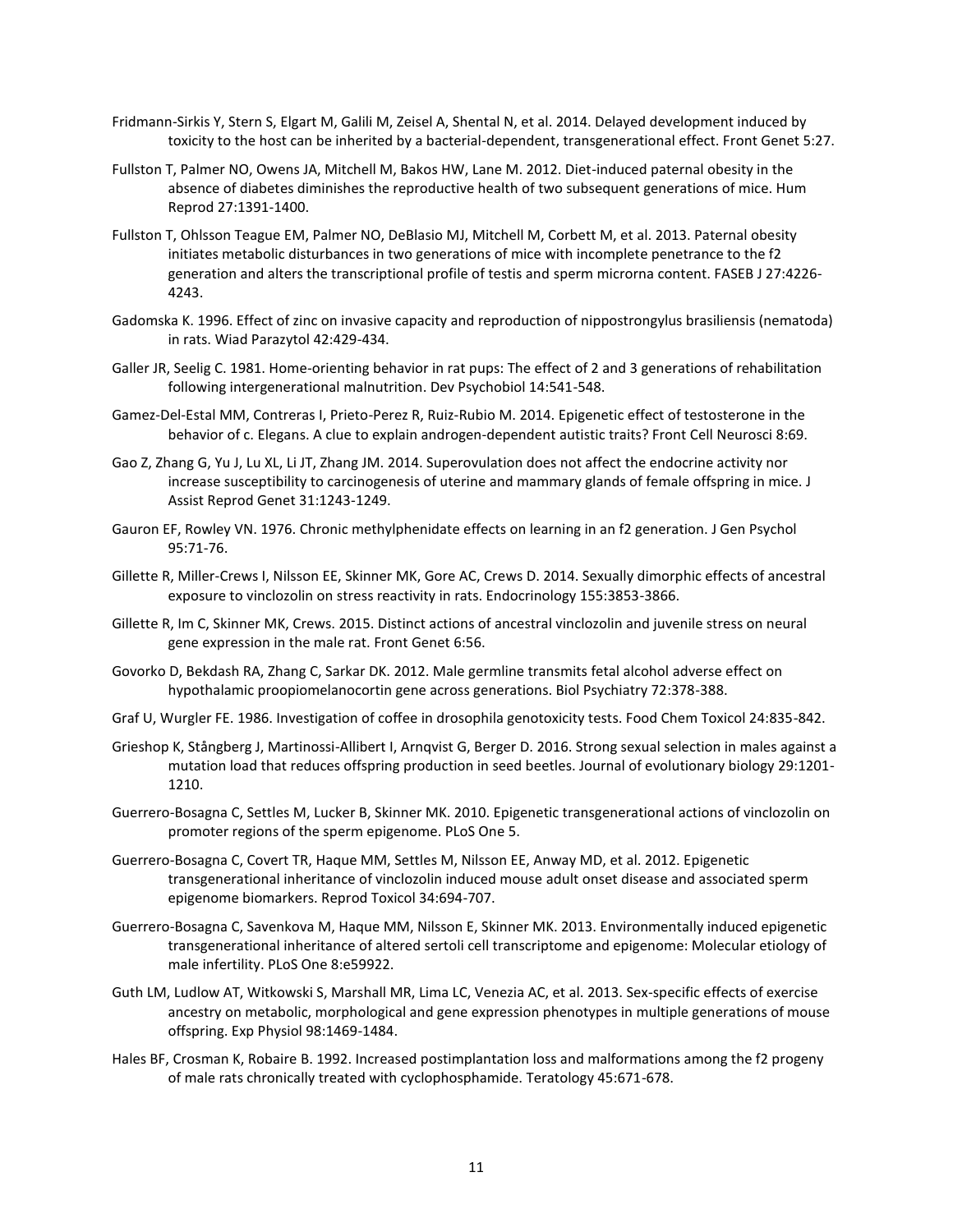- Fridmann-Sirkis Y, Stern S, Elgart M, Galili M, Zeisel A, Shental N, et al. 2014. Delayed development induced by toxicity to the host can be inherited by a bacterial-dependent, transgenerational effect. Front Genet 5:27.
- Fullston T, Palmer NO, Owens JA, Mitchell M, Bakos HW, Lane M. 2012. Diet-induced paternal obesity in the absence of diabetes diminishes the reproductive health of two subsequent generations of mice. Hum Reprod 27:1391-1400.
- Fullston T, Ohlsson Teague EM, Palmer NO, DeBlasio MJ, Mitchell M, Corbett M, et al. 2013. Paternal obesity initiates metabolic disturbances in two generations of mice with incomplete penetrance to the f2 generation and alters the transcriptional profile of testis and sperm microrna content. FASEB J 27:4226- 4243.
- Gadomska K. 1996. Effect of zinc on invasive capacity and reproduction of nippostrongylus brasiliensis (nematoda) in rats. Wiad Parazytol 42:429-434.
- Galler JR, Seelig C. 1981. Home-orienting behavior in rat pups: The effect of 2 and 3 generations of rehabilitation following intergenerational malnutrition. Dev Psychobiol 14:541-548.
- Gamez-Del-Estal MM, Contreras I, Prieto-Perez R, Ruiz-Rubio M. 2014. Epigenetic effect of testosterone in the behavior of c. Elegans. A clue to explain androgen-dependent autistic traits? Front Cell Neurosci 8:69.
- Gao Z, Zhang G, Yu J, Lu XL, Li JT, Zhang JM. 2014. Superovulation does not affect the endocrine activity nor increase susceptibility to carcinogenesis of uterine and mammary glands of female offspring in mice. J Assist Reprod Genet 31:1243-1249.
- Gauron EF, Rowley VN. 1976. Chronic methylphenidate effects on learning in an f2 generation. J Gen Psychol 95:71-76.
- Gillette R, Miller-Crews I, Nilsson EE, Skinner MK, Gore AC, Crews D. 2014. Sexually dimorphic effects of ancestral exposure to vinclozolin on stress reactivity in rats. Endocrinology 155:3853-3866.
- Gillette R, Im C, Skinner MK, Crews. 2015. Distinct actions of ancestral vinclozolin and juvenile stress on neural gene expression in the male rat. Front Genet 6:56.
- Govorko D, Bekdash RA, Zhang C, Sarkar DK. 2012. Male germline transmits fetal alcohol adverse effect on hypothalamic proopiomelanocortin gene across generations. Biol Psychiatry 72:378-388.
- Graf U, Wurgler FE. 1986. Investigation of coffee in drosophila genotoxicity tests. Food Chem Toxicol 24:835-842.
- Grieshop K, Stångberg J, Martinossi-Allibert I, Arnqvist G, Berger D. 2016. Strong sexual selection in males against a mutation load that reduces offspring production in seed beetles. Journal of evolutionary biology 29:1201- 1210.
- Guerrero-Bosagna C, Settles M, Lucker B, Skinner MK. 2010. Epigenetic transgenerational actions of vinclozolin on promoter regions of the sperm epigenome. PLoS One 5.
- Guerrero-Bosagna C, Covert TR, Haque MM, Settles M, Nilsson EE, Anway MD, et al. 2012. Epigenetic transgenerational inheritance of vinclozolin induced mouse adult onset disease and associated sperm epigenome biomarkers. Reprod Toxicol 34:694-707.
- Guerrero-Bosagna C, Savenkova M, Haque MM, Nilsson E, Skinner MK. 2013. Environmentally induced epigenetic transgenerational inheritance of altered sertoli cell transcriptome and epigenome: Molecular etiology of male infertility. PLoS One 8:e59922.
- Guth LM, Ludlow AT, Witkowski S, Marshall MR, Lima LC, Venezia AC, et al. 2013. Sex-specific effects of exercise ancestry on metabolic, morphological and gene expression phenotypes in multiple generations of mouse offspring. Exp Physiol 98:1469-1484.
- Hales BF, Crosman K, Robaire B. 1992. Increased postimplantation loss and malformations among the f2 progeny of male rats chronically treated with cyclophosphamide. Teratology 45:671-678.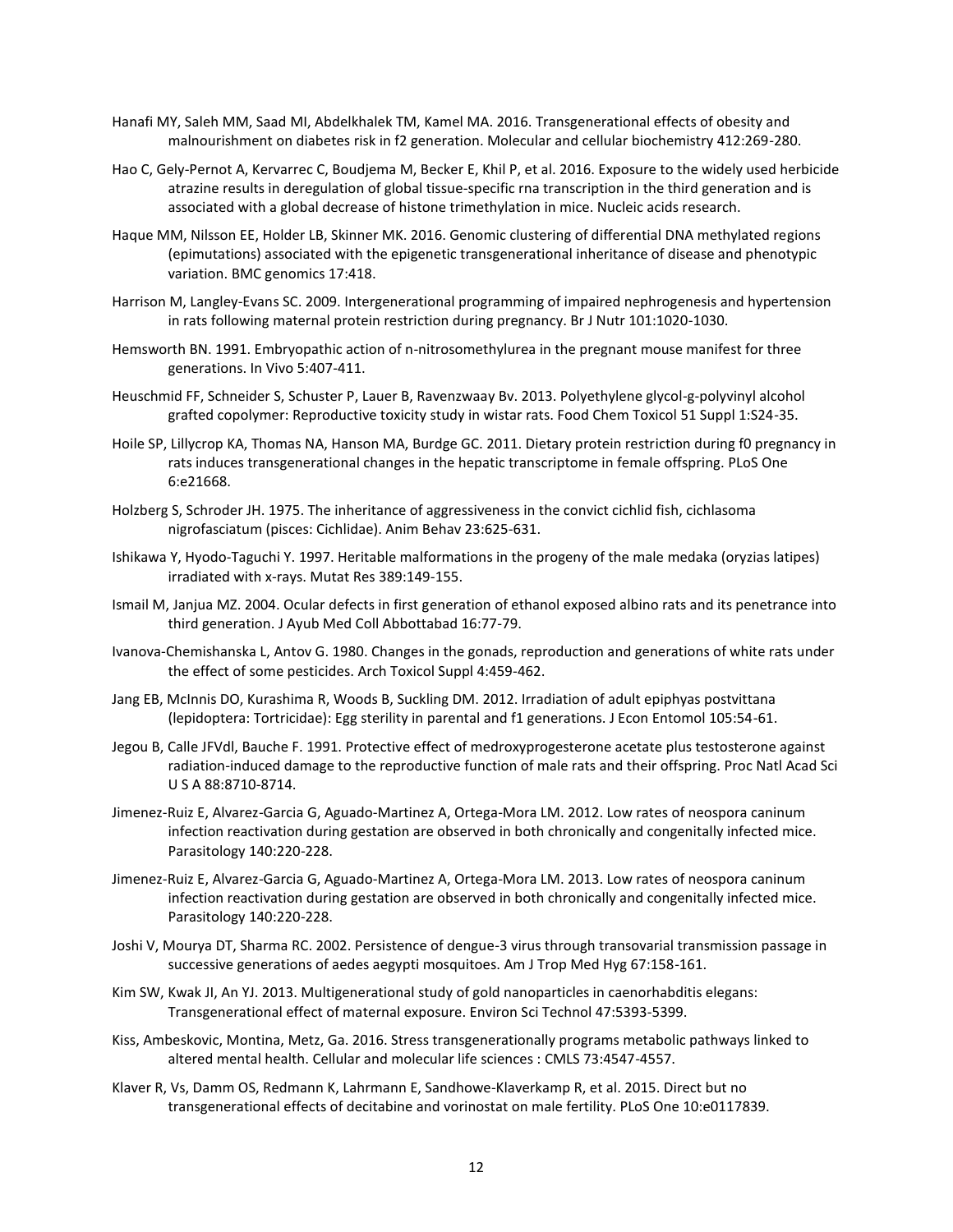- Hanafi MY, Saleh MM, Saad MI, Abdelkhalek TM, Kamel MA. 2016. Transgenerational effects of obesity and malnourishment on diabetes risk in f2 generation. Molecular and cellular biochemistry 412:269-280.
- Hao C, Gely-Pernot A, Kervarrec C, Boudjema M, Becker E, Khil P, et al. 2016. Exposure to the widely used herbicide atrazine results in deregulation of global tissue-specific rna transcription in the third generation and is associated with a global decrease of histone trimethylation in mice. Nucleic acids research.
- Haque MM, Nilsson EE, Holder LB, Skinner MK. 2016. Genomic clustering of differential DNA methylated regions (epimutations) associated with the epigenetic transgenerational inheritance of disease and phenotypic variation. BMC genomics 17:418.
- Harrison M, Langley-Evans SC. 2009. Intergenerational programming of impaired nephrogenesis and hypertension in rats following maternal protein restriction during pregnancy. Br J Nutr 101:1020-1030.
- Hemsworth BN. 1991. Embryopathic action of n-nitrosomethylurea in the pregnant mouse manifest for three generations. In Vivo 5:407-411.
- Heuschmid FF, Schneider S, Schuster P, Lauer B, Ravenzwaay Bv. 2013. Polyethylene glycol-g-polyvinyl alcohol grafted copolymer: Reproductive toxicity study in wistar rats. Food Chem Toxicol 51 Suppl 1:S24-35.
- Hoile SP, Lillycrop KA, Thomas NA, Hanson MA, Burdge GC. 2011. Dietary protein restriction during f0 pregnancy in rats induces transgenerational changes in the hepatic transcriptome in female offspring. PLoS One 6:e21668.
- Holzberg S, Schroder JH. 1975. The inheritance of aggressiveness in the convict cichlid fish, cichlasoma nigrofasciatum (pisces: Cichlidae). Anim Behav 23:625-631.
- Ishikawa Y, Hyodo-Taguchi Y. 1997. Heritable malformations in the progeny of the male medaka (oryzias latipes) irradiated with x-rays. Mutat Res 389:149-155.
- Ismail M, Janjua MZ. 2004. Ocular defects in first generation of ethanol exposed albino rats and its penetrance into third generation. J Ayub Med Coll Abbottabad 16:77-79.
- Ivanova-Chemishanska L, Antov G. 1980. Changes in the gonads, reproduction and generations of white rats under the effect of some pesticides. Arch Toxicol Suppl 4:459-462.
- Jang EB, McInnis DO, Kurashima R, Woods B, Suckling DM. 2012. Irradiation of adult epiphyas postvittana (lepidoptera: Tortricidae): Egg sterility in parental and f1 generations. J Econ Entomol 105:54-61.
- Jegou B, Calle JFVdl, Bauche F. 1991. Protective effect of medroxyprogesterone acetate plus testosterone against radiation-induced damage to the reproductive function of male rats and their offspring. Proc Natl Acad Sci U S A 88:8710-8714.
- Jimenez-Ruiz E, Alvarez-Garcia G, Aguado-Martinez A, Ortega-Mora LM. 2012. Low rates of neospora caninum infection reactivation during gestation are observed in both chronically and congenitally infected mice. Parasitology 140:220-228.
- Jimenez-Ruiz E, Alvarez-Garcia G, Aguado-Martinez A, Ortega-Mora LM. 2013. Low rates of neospora caninum infection reactivation during gestation are observed in both chronically and congenitally infected mice. Parasitology 140:220-228.
- Joshi V, Mourya DT, Sharma RC. 2002. Persistence of dengue-3 virus through transovarial transmission passage in successive generations of aedes aegypti mosquitoes. Am J Trop Med Hyg 67:158-161.
- Kim SW, Kwak JI, An YJ. 2013. Multigenerational study of gold nanoparticles in caenorhabditis elegans: Transgenerational effect of maternal exposure. Environ Sci Technol 47:5393-5399.
- Kiss, Ambeskovic, Montina, Metz, Ga. 2016. Stress transgenerationally programs metabolic pathways linked to altered mental health. Cellular and molecular life sciences : CMLS 73:4547-4557.
- Klaver R, Vs, Damm OS, Redmann K, Lahrmann E, Sandhowe-Klaverkamp R, et al. 2015. Direct but no transgenerational effects of decitabine and vorinostat on male fertility. PLoS One 10:e0117839.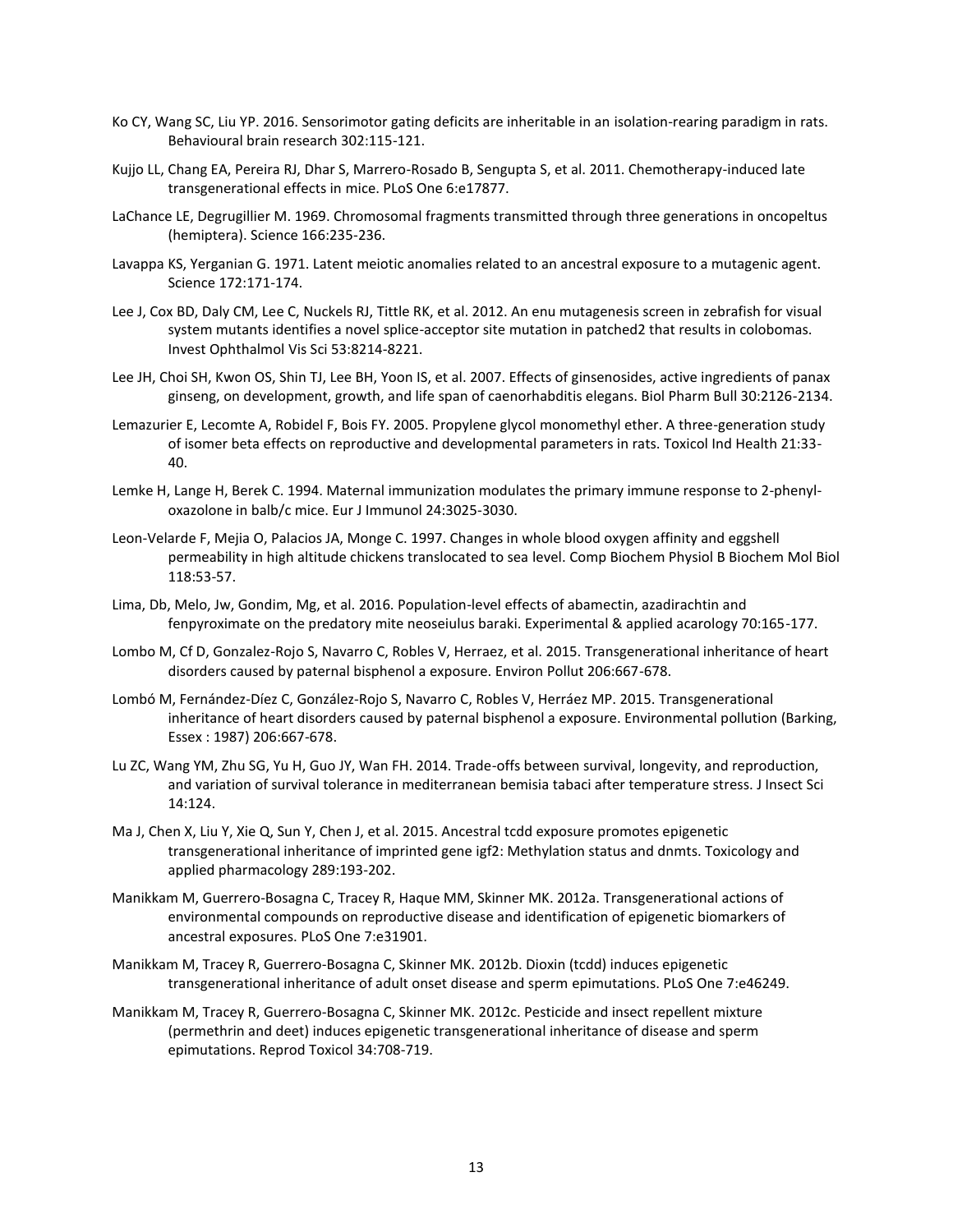- Ko CY, Wang SC, Liu YP. 2016. Sensorimotor gating deficits are inheritable in an isolation-rearing paradigm in rats. Behavioural brain research 302:115-121.
- Kujjo LL, Chang EA, Pereira RJ, Dhar S, Marrero-Rosado B, Sengupta S, et al. 2011. Chemotherapy-induced late transgenerational effects in mice. PLoS One 6:e17877.
- LaChance LE, Degrugillier M. 1969. Chromosomal fragments transmitted through three generations in oncopeltus (hemiptera). Science 166:235-236.
- Lavappa KS, Yerganian G. 1971. Latent meiotic anomalies related to an ancestral exposure to a mutagenic agent. Science 172:171-174.
- Lee J, Cox BD, Daly CM, Lee C, Nuckels RJ, Tittle RK, et al. 2012. An enu mutagenesis screen in zebrafish for visual system mutants identifies a novel splice-acceptor site mutation in patched2 that results in colobomas. Invest Ophthalmol Vis Sci 53:8214-8221.
- Lee JH, Choi SH, Kwon OS, Shin TJ, Lee BH, Yoon IS, et al. 2007. Effects of ginsenosides, active ingredients of panax ginseng, on development, growth, and life span of caenorhabditis elegans. Biol Pharm Bull 30:2126-2134.
- Lemazurier E, Lecomte A, Robidel F, Bois FY. 2005. Propylene glycol monomethyl ether. A three-generation study of isomer beta effects on reproductive and developmental parameters in rats. Toxicol Ind Health 21:33- 40.
- Lemke H, Lange H, Berek C. 1994. Maternal immunization modulates the primary immune response to 2-phenyloxazolone in balb/c mice. Eur J Immunol 24:3025-3030.
- Leon-Velarde F, Mejia O, Palacios JA, Monge C. 1997. Changes in whole blood oxygen affinity and eggshell permeability in high altitude chickens translocated to sea level. Comp Biochem Physiol B Biochem Mol Biol 118:53-57.
- Lima, Db, Melo, Jw, Gondim, Mg, et al. 2016. Population-level effects of abamectin, azadirachtin and fenpyroximate on the predatory mite neoseiulus baraki. Experimental & applied acarology 70:165-177.
- Lombo M, Cf D, Gonzalez-Rojo S, Navarro C, Robles V, Herraez, et al. 2015. Transgenerational inheritance of heart disorders caused by paternal bisphenol a exposure. Environ Pollut 206:667-678.
- Lombó M, Fernández-Díez C, González-Rojo S, Navarro C, Robles V, Herráez MP. 2015. Transgenerational inheritance of heart disorders caused by paternal bisphenol a exposure. Environmental pollution (Barking, Essex : 1987) 206:667-678.
- Lu ZC, Wang YM, Zhu SG, Yu H, Guo JY, Wan FH. 2014. Trade-offs between survival, longevity, and reproduction, and variation of survival tolerance in mediterranean bemisia tabaci after temperature stress. J Insect Sci 14:124.
- Ma J, Chen X, Liu Y, Xie Q, Sun Y, Chen J, et al. 2015. Ancestral tcdd exposure promotes epigenetic transgenerational inheritance of imprinted gene igf2: Methylation status and dnmts. Toxicology and applied pharmacology 289:193-202.
- Manikkam M, Guerrero-Bosagna C, Tracey R, Haque MM, Skinner MK. 2012a. Transgenerational actions of environmental compounds on reproductive disease and identification of epigenetic biomarkers of ancestral exposures. PLoS One 7:e31901.
- Manikkam M, Tracey R, Guerrero-Bosagna C, Skinner MK. 2012b. Dioxin (tcdd) induces epigenetic transgenerational inheritance of adult onset disease and sperm epimutations. PLoS One 7:e46249.
- Manikkam M, Tracey R, Guerrero-Bosagna C, Skinner MK. 2012c. Pesticide and insect repellent mixture (permethrin and deet) induces epigenetic transgenerational inheritance of disease and sperm epimutations. Reprod Toxicol 34:708-719.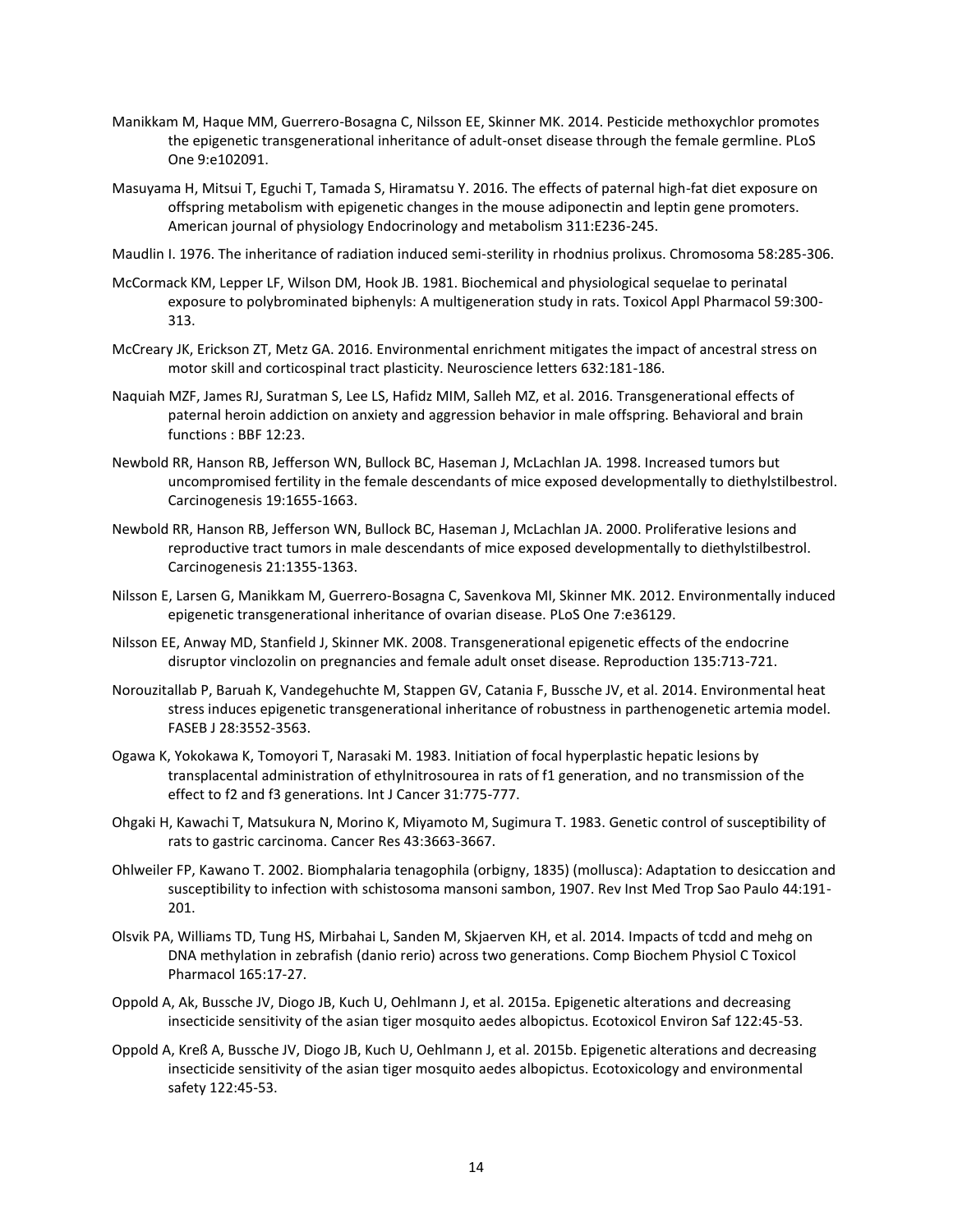- Manikkam M, Haque MM, Guerrero-Bosagna C, Nilsson EE, Skinner MK. 2014. Pesticide methoxychlor promotes the epigenetic transgenerational inheritance of adult-onset disease through the female germline. PLoS One 9:e102091.
- Masuyama H, Mitsui T, Eguchi T, Tamada S, Hiramatsu Y. 2016. The effects of paternal high-fat diet exposure on offspring metabolism with epigenetic changes in the mouse adiponectin and leptin gene promoters. American journal of physiology Endocrinology and metabolism 311:E236-245.
- Maudlin I. 1976. The inheritance of radiation induced semi-sterility in rhodnius prolixus. Chromosoma 58:285-306.
- McCormack KM, Lepper LF, Wilson DM, Hook JB. 1981. Biochemical and physiological sequelae to perinatal exposure to polybrominated biphenyls: A multigeneration study in rats. Toxicol Appl Pharmacol 59:300- 313.
- McCreary JK, Erickson ZT, Metz GA. 2016. Environmental enrichment mitigates the impact of ancestral stress on motor skill and corticospinal tract plasticity. Neuroscience letters 632:181-186.
- Naquiah MZF, James RJ, Suratman S, Lee LS, Hafidz MIM, Salleh MZ, et al. 2016. Transgenerational effects of paternal heroin addiction on anxiety and aggression behavior in male offspring. Behavioral and brain functions : BBF 12:23.
- Newbold RR, Hanson RB, Jefferson WN, Bullock BC, Haseman J, McLachlan JA. 1998. Increased tumors but uncompromised fertility in the female descendants of mice exposed developmentally to diethylstilbestrol. Carcinogenesis 19:1655-1663.
- Newbold RR, Hanson RB, Jefferson WN, Bullock BC, Haseman J, McLachlan JA. 2000. Proliferative lesions and reproductive tract tumors in male descendants of mice exposed developmentally to diethylstilbestrol. Carcinogenesis 21:1355-1363.
- Nilsson E, Larsen G, Manikkam M, Guerrero-Bosagna C, Savenkova MI, Skinner MK. 2012. Environmentally induced epigenetic transgenerational inheritance of ovarian disease. PLoS One 7:e36129.
- Nilsson EE, Anway MD, Stanfield J, Skinner MK. 2008. Transgenerational epigenetic effects of the endocrine disruptor vinclozolin on pregnancies and female adult onset disease. Reproduction 135:713-721.
- Norouzitallab P, Baruah K, Vandegehuchte M, Stappen GV, Catania F, Bussche JV, et al. 2014. Environmental heat stress induces epigenetic transgenerational inheritance of robustness in parthenogenetic artemia model. FASEB J 28:3552-3563.
- Ogawa K, Yokokawa K, Tomoyori T, Narasaki M. 1983. Initiation of focal hyperplastic hepatic lesions by transplacental administration of ethylnitrosourea in rats of f1 generation, and no transmission of the effect to f2 and f3 generations. Int J Cancer 31:775-777.
- Ohgaki H, Kawachi T, Matsukura N, Morino K, Miyamoto M, Sugimura T. 1983. Genetic control of susceptibility of rats to gastric carcinoma. Cancer Res 43:3663-3667.
- Ohlweiler FP, Kawano T. 2002. Biomphalaria tenagophila (orbigny, 1835) (mollusca): Adaptation to desiccation and susceptibility to infection with schistosoma mansoni sambon, 1907. Rev Inst Med Trop Sao Paulo 44:191- 201.
- Olsvik PA, Williams TD, Tung HS, Mirbahai L, Sanden M, Skjaerven KH, et al. 2014. Impacts of tcdd and mehg on DNA methylation in zebrafish (danio rerio) across two generations. Comp Biochem Physiol C Toxicol Pharmacol 165:17-27.
- Oppold A, Ak, Bussche JV, Diogo JB, Kuch U, Oehlmann J, et al. 2015a. Epigenetic alterations and decreasing insecticide sensitivity of the asian tiger mosquito aedes albopictus. Ecotoxicol Environ Saf 122:45-53.
- Oppold A, Kreß A, Bussche JV, Diogo JB, Kuch U, Oehlmann J, et al. 2015b. Epigenetic alterations and decreasing insecticide sensitivity of the asian tiger mosquito aedes albopictus. Ecotoxicology and environmental safety 122:45-53.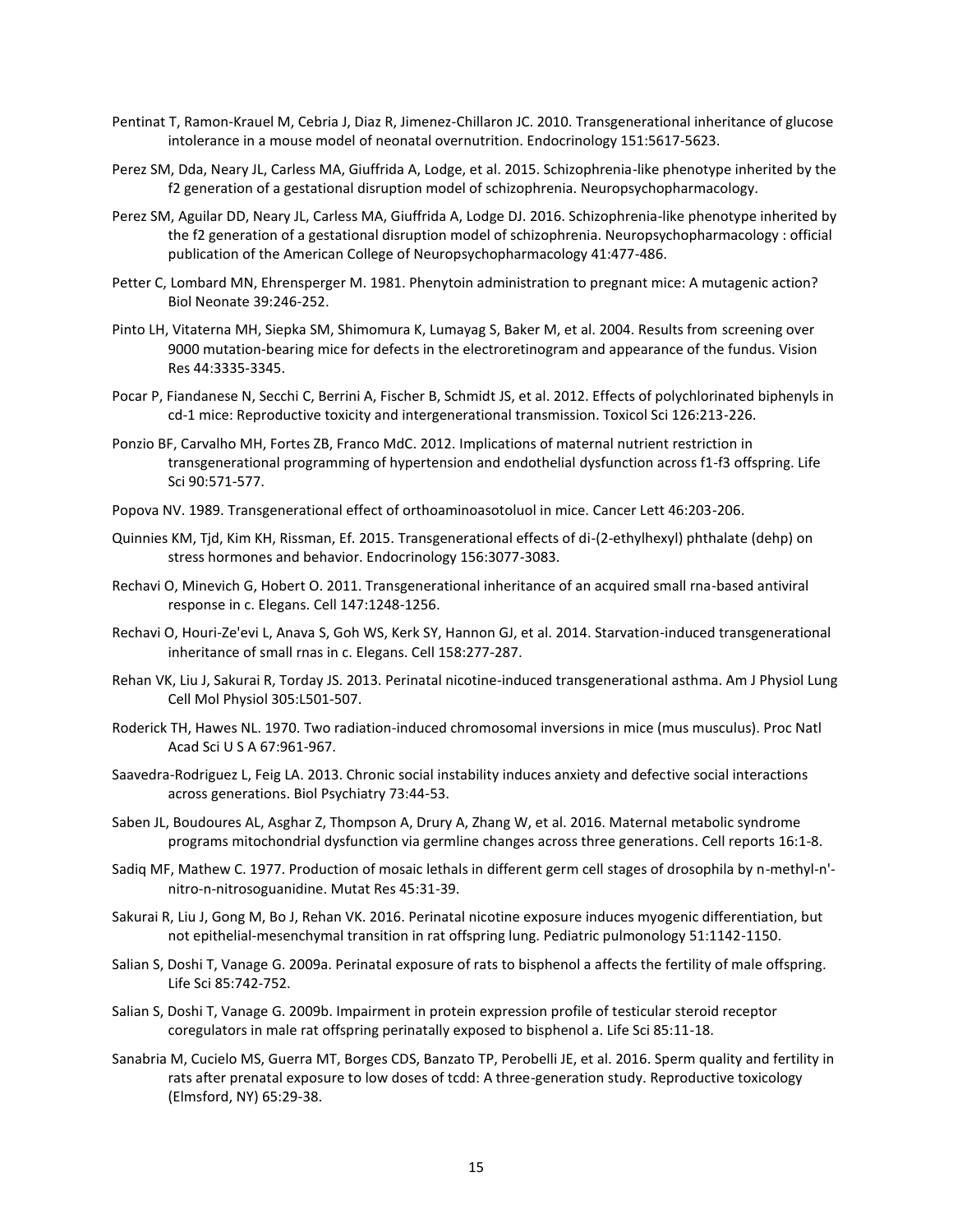- Pentinat T, Ramon-Krauel M, Cebria J, Diaz R, Jimenez-Chillaron JC. 2010. Transgenerational inheritance of glucose intolerance in a mouse model of neonatal overnutrition. Endocrinology 151:5617-5623.
- Perez SM, Dda, Neary JL, Carless MA, Giuffrida A, Lodge, et al. 2015. Schizophrenia-like phenotype inherited by the f2 generation of a gestational disruption model of schizophrenia. Neuropsychopharmacology.
- Perez SM, Aguilar DD, Neary JL, Carless MA, Giuffrida A, Lodge DJ. 2016. Schizophrenia-like phenotype inherited by the f2 generation of a gestational disruption model of schizophrenia. Neuropsychopharmacology : official publication of the American College of Neuropsychopharmacology 41:477-486.
- Petter C, Lombard MN, Ehrensperger M. 1981. Phenytoin administration to pregnant mice: A mutagenic action? Biol Neonate 39:246-252.
- Pinto LH, Vitaterna MH, Siepka SM, Shimomura K, Lumayag S, Baker M, et al. 2004. Results from screening over 9000 mutation-bearing mice for defects in the electroretinogram and appearance of the fundus. Vision Res 44:3335-3345.
- Pocar P, Fiandanese N, Secchi C, Berrini A, Fischer B, Schmidt JS, et al. 2012. Effects of polychlorinated biphenyls in cd-1 mice: Reproductive toxicity and intergenerational transmission. Toxicol Sci 126:213-226.
- Ponzio BF, Carvalho MH, Fortes ZB, Franco MdC. 2012. Implications of maternal nutrient restriction in transgenerational programming of hypertension and endothelial dysfunction across f1-f3 offspring. Life Sci 90:571-577.
- Popova NV. 1989. Transgenerational effect of orthoaminoasotoluol in mice. Cancer Lett 46:203-206.
- Quinnies KM, Tjd, Kim KH, Rissman, Ef. 2015. Transgenerational effects of di-(2-ethylhexyl) phthalate (dehp) on stress hormones and behavior. Endocrinology 156:3077-3083.
- Rechavi O, Minevich G, Hobert O. 2011. Transgenerational inheritance of an acquired small rna-based antiviral response in c. Elegans. Cell 147:1248-1256.
- Rechavi O, Houri-Ze'evi L, Anava S, Goh WS, Kerk SY, Hannon GJ, et al. 2014. Starvation-induced transgenerational inheritance of small rnas in c. Elegans. Cell 158:277-287.
- Rehan VK, Liu J, Sakurai R, Torday JS. 2013. Perinatal nicotine-induced transgenerational asthma. Am J Physiol Lung Cell Mol Physiol 305:L501-507.
- Roderick TH, Hawes NL. 1970. Two radiation-induced chromosomal inversions in mice (mus musculus). Proc Natl Acad Sci U S A 67:961-967.
- Saavedra-Rodriguez L, Feig LA. 2013. Chronic social instability induces anxiety and defective social interactions across generations. Biol Psychiatry 73:44-53.
- Saben JL, Boudoures AL, Asghar Z, Thompson A, Drury A, Zhang W, et al. 2016. Maternal metabolic syndrome programs mitochondrial dysfunction via germline changes across three generations. Cell reports 16:1-8.
- Sadiq MF, Mathew C. 1977. Production of mosaic lethals in different germ cell stages of drosophila by n-methyl-n' nitro-n-nitrosoguanidine. Mutat Res 45:31-39.
- Sakurai R, Liu J, Gong M, Bo J, Rehan VK. 2016. Perinatal nicotine exposure induces myogenic differentiation, but not epithelial-mesenchymal transition in rat offspring lung. Pediatric pulmonology 51:1142-1150.
- Salian S, Doshi T, Vanage G. 2009a. Perinatal exposure of rats to bisphenol a affects the fertility of male offspring. Life Sci 85:742-752.
- Salian S, Doshi T, Vanage G. 2009b. Impairment in protein expression profile of testicular steroid receptor coregulators in male rat offspring perinatally exposed to bisphenol a. Life Sci 85:11-18.
- Sanabria M, Cucielo MS, Guerra MT, Borges CDS, Banzato TP, Perobelli JE, et al. 2016. Sperm quality and fertility in rats after prenatal exposure to low doses of tcdd: A three-generation study. Reproductive toxicology (Elmsford, NY) 65:29-38.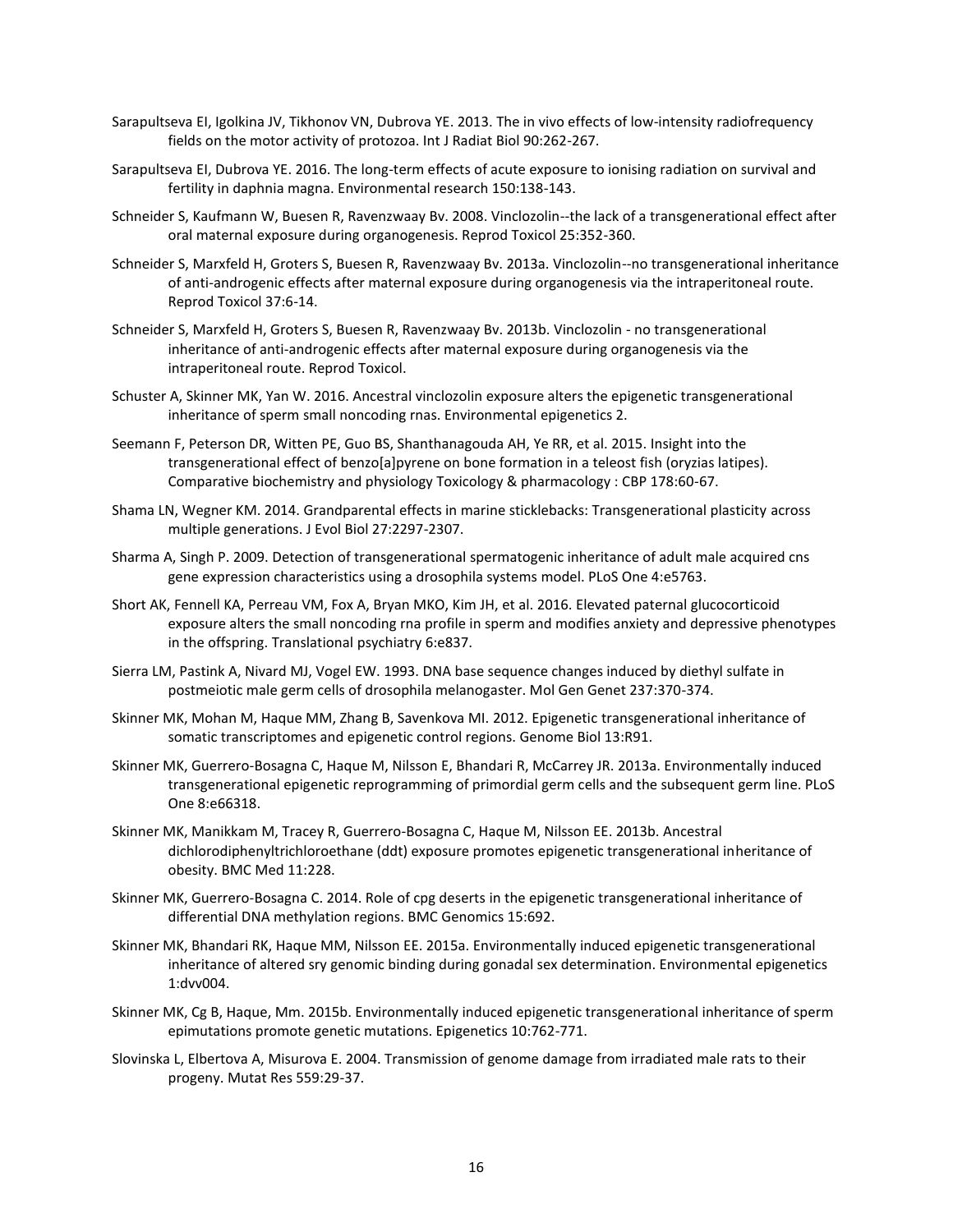- Sarapultseva EI, Igolkina JV, Tikhonov VN, Dubrova YE. 2013. The in vivo effects of low-intensity radiofrequency fields on the motor activity of protozoa. Int J Radiat Biol 90:262-267.
- Sarapultseva EI, Dubrova YE. 2016. The long-term effects of acute exposure to ionising radiation on survival and fertility in daphnia magna. Environmental research 150:138-143.
- Schneider S, Kaufmann W, Buesen R, Ravenzwaay Bv. 2008. Vinclozolin--the lack of a transgenerational effect after oral maternal exposure during organogenesis. Reprod Toxicol 25:352-360.
- Schneider S, Marxfeld H, Groters S, Buesen R, Ravenzwaay Bv. 2013a. Vinclozolin--no transgenerational inheritance of anti-androgenic effects after maternal exposure during organogenesis via the intraperitoneal route. Reprod Toxicol 37:6-14.
- Schneider S, Marxfeld H, Groters S, Buesen R, Ravenzwaay Bv. 2013b. Vinclozolin no transgenerational inheritance of anti-androgenic effects after maternal exposure during organogenesis via the intraperitoneal route. Reprod Toxicol.
- Schuster A, Skinner MK, Yan W. 2016. Ancestral vinclozolin exposure alters the epigenetic transgenerational inheritance of sperm small noncoding rnas. Environmental epigenetics 2.
- Seemann F, Peterson DR, Witten PE, Guo BS, Shanthanagouda AH, Ye RR, et al. 2015. Insight into the transgenerational effect of benzo[a]pyrene on bone formation in a teleost fish (oryzias latipes). Comparative biochemistry and physiology Toxicology & pharmacology : CBP 178:60-67.
- Shama LN, Wegner KM. 2014. Grandparental effects in marine sticklebacks: Transgenerational plasticity across multiple generations. J Evol Biol 27:2297-2307.
- Sharma A, Singh P. 2009. Detection of transgenerational spermatogenic inheritance of adult male acquired cns gene expression characteristics using a drosophila systems model. PLoS One 4:e5763.
- Short AK, Fennell KA, Perreau VM, Fox A, Bryan MKO, Kim JH, et al. 2016. Elevated paternal glucocorticoid exposure alters the small noncoding rna profile in sperm and modifies anxiety and depressive phenotypes in the offspring. Translational psychiatry 6:e837.
- Sierra LM, Pastink A, Nivard MJ, Vogel EW. 1993. DNA base sequence changes induced by diethyl sulfate in postmeiotic male germ cells of drosophila melanogaster. Mol Gen Genet 237:370-374.
- Skinner MK, Mohan M, Haque MM, Zhang B, Savenkova MI. 2012. Epigenetic transgenerational inheritance of somatic transcriptomes and epigenetic control regions. Genome Biol 13:R91.
- Skinner MK, Guerrero-Bosagna C, Haque M, Nilsson E, Bhandari R, McCarrey JR. 2013a. Environmentally induced transgenerational epigenetic reprogramming of primordial germ cells and the subsequent germ line. PLoS One 8:e66318.
- Skinner MK, Manikkam M, Tracey R, Guerrero-Bosagna C, Haque M, Nilsson EE. 2013b. Ancestral dichlorodiphenyltrichloroethane (ddt) exposure promotes epigenetic transgenerational inheritance of obesity. BMC Med 11:228.
- Skinner MK, Guerrero-Bosagna C. 2014. Role of cpg deserts in the epigenetic transgenerational inheritance of differential DNA methylation regions. BMC Genomics 15:692.
- Skinner MK, Bhandari RK, Haque MM, Nilsson EE. 2015a. Environmentally induced epigenetic transgenerational inheritance of altered sry genomic binding during gonadal sex determination. Environmental epigenetics 1:dvv004.
- Skinner MK, Cg B, Haque, Mm. 2015b. Environmentally induced epigenetic transgenerational inheritance of sperm epimutations promote genetic mutations. Epigenetics 10:762-771.
- Slovinska L, Elbertova A, Misurova E. 2004. Transmission of genome damage from irradiated male rats to their progeny. Mutat Res 559:29-37.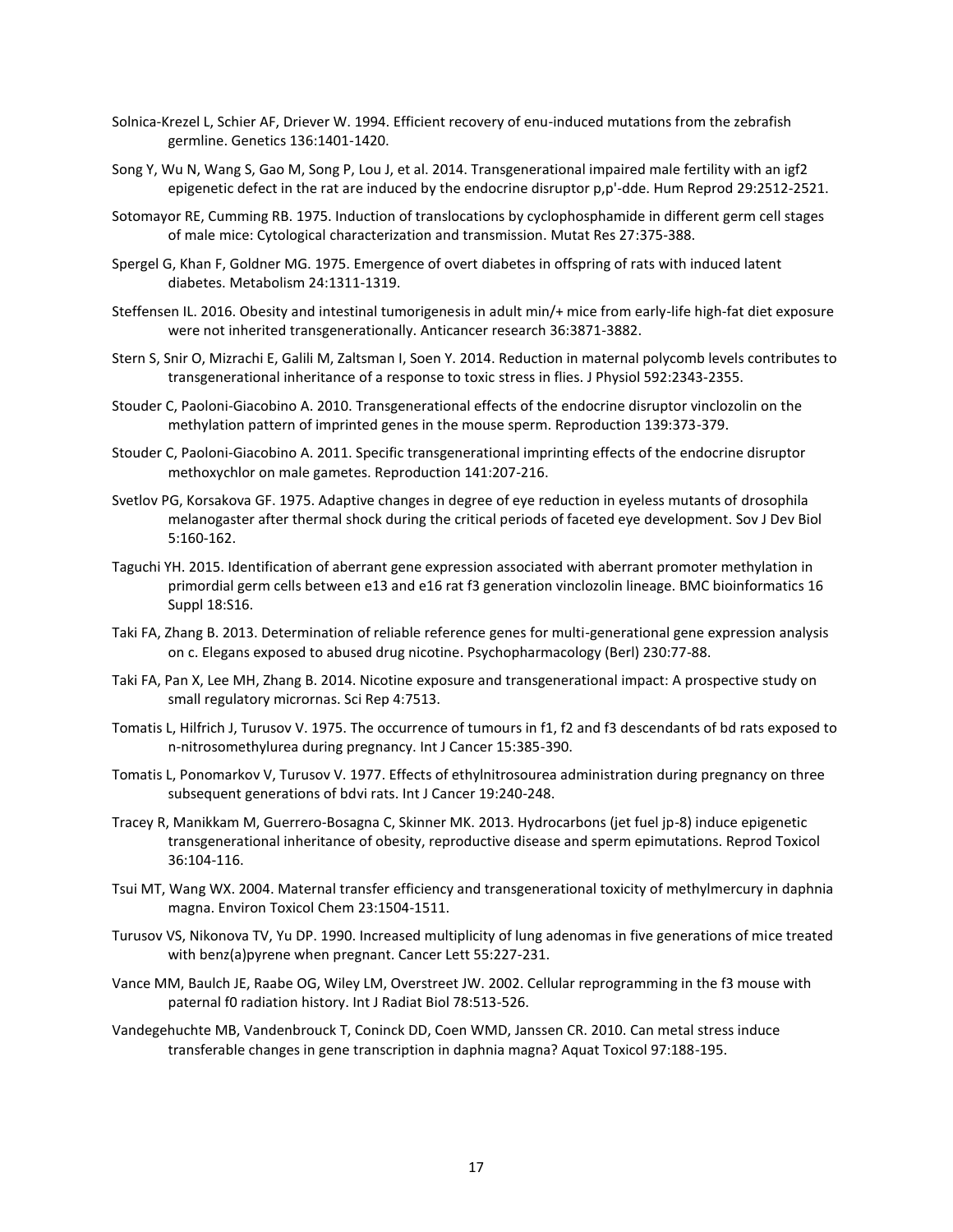- Solnica-Krezel L, Schier AF, Driever W. 1994. Efficient recovery of enu-induced mutations from the zebrafish germline. Genetics 136:1401-1420.
- Song Y, Wu N, Wang S, Gao M, Song P, Lou J, et al. 2014. Transgenerational impaired male fertility with an igf2 epigenetic defect in the rat are induced by the endocrine disruptor p,p'-dde. Hum Reprod 29:2512-2521.
- Sotomayor RE, Cumming RB. 1975. Induction of translocations by cyclophosphamide in different germ cell stages of male mice: Cytological characterization and transmission. Mutat Res 27:375-388.
- Spergel G, Khan F, Goldner MG. 1975. Emergence of overt diabetes in offspring of rats with induced latent diabetes. Metabolism 24:1311-1319.
- Steffensen IL. 2016. Obesity and intestinal tumorigenesis in adult min/+ mice from early-life high-fat diet exposure were not inherited transgenerationally. Anticancer research 36:3871-3882.
- Stern S, Snir O, Mizrachi E, Galili M, Zaltsman I, Soen Y. 2014. Reduction in maternal polycomb levels contributes to transgenerational inheritance of a response to toxic stress in flies. J Physiol 592:2343-2355.
- Stouder C, Paoloni-Giacobino A. 2010. Transgenerational effects of the endocrine disruptor vinclozolin on the methylation pattern of imprinted genes in the mouse sperm. Reproduction 139:373-379.
- Stouder C, Paoloni-Giacobino A. 2011. Specific transgenerational imprinting effects of the endocrine disruptor methoxychlor on male gametes. Reproduction 141:207-216.
- Svetlov PG, Korsakova GF. 1975. Adaptive changes in degree of eye reduction in eyeless mutants of drosophila melanogaster after thermal shock during the critical periods of faceted eye development. Sov J Dev Biol 5:160-162.
- Taguchi YH. 2015. Identification of aberrant gene expression associated with aberrant promoter methylation in primordial germ cells between e13 and e16 rat f3 generation vinclozolin lineage. BMC bioinformatics 16 Suppl 18:S16.
- Taki FA, Zhang B. 2013. Determination of reliable reference genes for multi-generational gene expression analysis on c. Elegans exposed to abused drug nicotine. Psychopharmacology (Berl) 230:77-88.
- Taki FA, Pan X, Lee MH, Zhang B. 2014. Nicotine exposure and transgenerational impact: A prospective study on small regulatory micrornas. Sci Rep 4:7513.
- Tomatis L, Hilfrich J, Turusov V. 1975. The occurrence of tumours in f1, f2 and f3 descendants of bd rats exposed to n-nitrosomethylurea during pregnancy. Int J Cancer 15:385-390.
- Tomatis L, Ponomarkov V, Turusov V. 1977. Effects of ethylnitrosourea administration during pregnancy on three subsequent generations of bdvi rats. Int J Cancer 19:240-248.
- Tracey R, Manikkam M, Guerrero-Bosagna C, Skinner MK. 2013. Hydrocarbons (jet fuel jp-8) induce epigenetic transgenerational inheritance of obesity, reproductive disease and sperm epimutations. Reprod Toxicol 36:104-116.
- Tsui MT, Wang WX. 2004. Maternal transfer efficiency and transgenerational toxicity of methylmercury in daphnia magna. Environ Toxicol Chem 23:1504-1511.
- Turusov VS, Nikonova TV, Yu DP. 1990. Increased multiplicity of lung adenomas in five generations of mice treated with benz(a)pyrene when pregnant. Cancer Lett 55:227-231.
- Vance MM, Baulch JE, Raabe OG, Wiley LM, Overstreet JW. 2002. Cellular reprogramming in the f3 mouse with paternal f0 radiation history. Int J Radiat Biol 78:513-526.
- Vandegehuchte MB, Vandenbrouck T, Coninck DD, Coen WMD, Janssen CR. 2010. Can metal stress induce transferable changes in gene transcription in daphnia magna? Aquat Toxicol 97:188-195.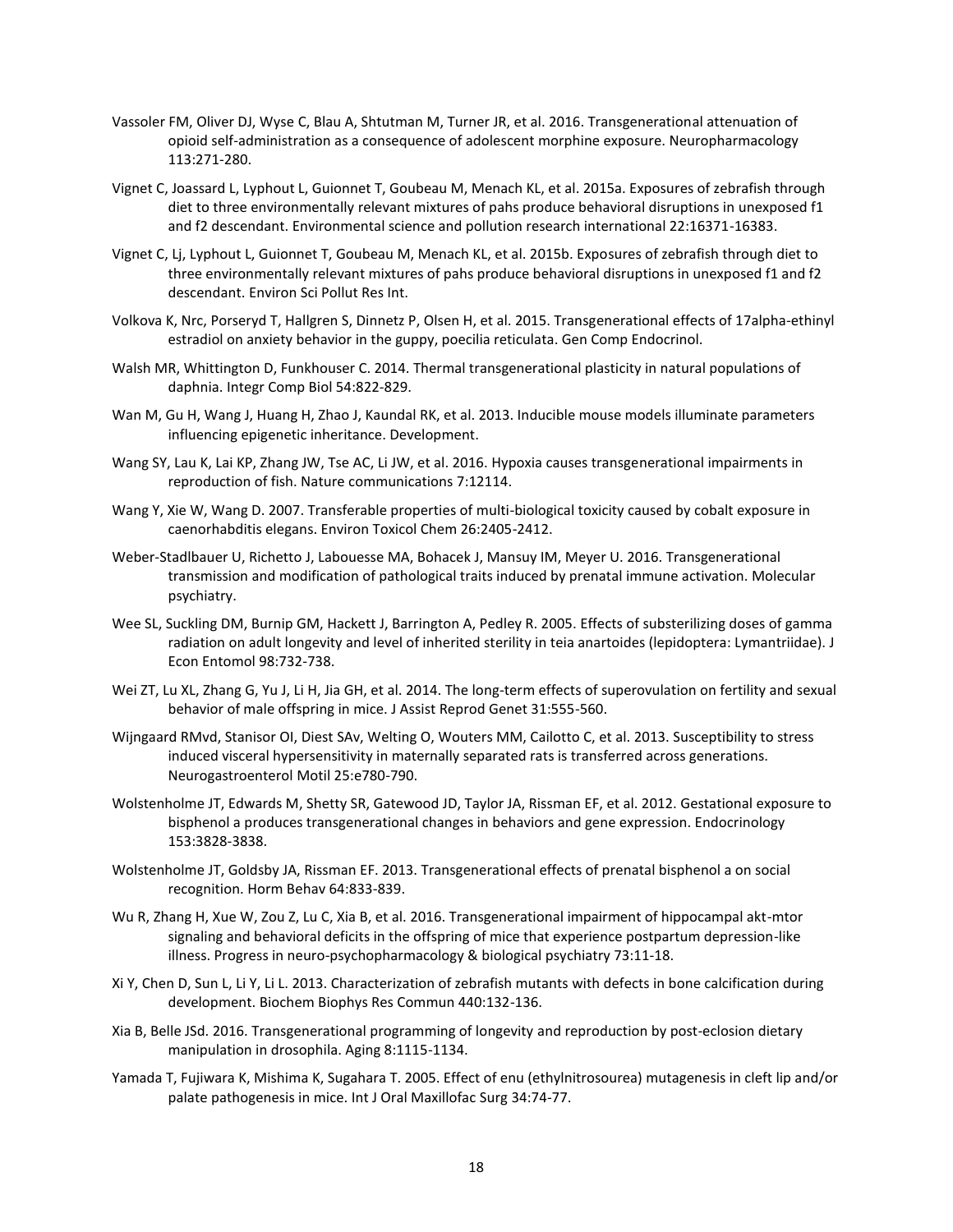- Vassoler FM, Oliver DJ, Wyse C, Blau A, Shtutman M, Turner JR, et al. 2016. Transgenerational attenuation of opioid self-administration as a consequence of adolescent morphine exposure. Neuropharmacology 113:271-280.
- Vignet C, Joassard L, Lyphout L, Guionnet T, Goubeau M, Menach KL, et al. 2015a. Exposures of zebrafish through diet to three environmentally relevant mixtures of pahs produce behavioral disruptions in unexposed f1 and f2 descendant. Environmental science and pollution research international 22:16371-16383.
- Vignet C, Lj, Lyphout L, Guionnet T, Goubeau M, Menach KL, et al. 2015b. Exposures of zebrafish through diet to three environmentally relevant mixtures of pahs produce behavioral disruptions in unexposed f1 and f2 descendant. Environ Sci Pollut Res Int.
- Volkova K, Nrc, Porseryd T, Hallgren S, Dinnetz P, Olsen H, et al. 2015. Transgenerational effects of 17alpha-ethinyl estradiol on anxiety behavior in the guppy, poecilia reticulata. Gen Comp Endocrinol.
- Walsh MR, Whittington D, Funkhouser C. 2014. Thermal transgenerational plasticity in natural populations of daphnia. Integr Comp Biol 54:822-829.
- Wan M, Gu H, Wang J, Huang H, Zhao J, Kaundal RK, et al. 2013. Inducible mouse models illuminate parameters influencing epigenetic inheritance. Development.
- Wang SY, Lau K, Lai KP, Zhang JW, Tse AC, Li JW, et al. 2016. Hypoxia causes transgenerational impairments in reproduction of fish. Nature communications 7:12114.
- Wang Y, Xie W, Wang D. 2007. Transferable properties of multi-biological toxicity caused by cobalt exposure in caenorhabditis elegans. Environ Toxicol Chem 26:2405-2412.
- Weber-Stadlbauer U, Richetto J, Labouesse MA, Bohacek J, Mansuy IM, Meyer U. 2016. Transgenerational transmission and modification of pathological traits induced by prenatal immune activation. Molecular psychiatry.
- Wee SL, Suckling DM, Burnip GM, Hackett J, Barrington A, Pedley R. 2005. Effects of substerilizing doses of gamma radiation on adult longevity and level of inherited sterility in teia anartoides (lepidoptera: Lymantriidae). J Econ Entomol 98:732-738.
- Wei ZT, Lu XL, Zhang G, Yu J, Li H, Jia GH, et al. 2014. The long-term effects of superovulation on fertility and sexual behavior of male offspring in mice. J Assist Reprod Genet 31:555-560.
- Wijngaard RMvd, Stanisor OI, Diest SAv, Welting O, Wouters MM, Cailotto C, et al. 2013. Susceptibility to stress induced visceral hypersensitivity in maternally separated rats is transferred across generations. Neurogastroenterol Motil 25:e780-790.
- Wolstenholme JT, Edwards M, Shetty SR, Gatewood JD, Taylor JA, Rissman EF, et al. 2012. Gestational exposure to bisphenol a produces transgenerational changes in behaviors and gene expression. Endocrinology 153:3828-3838.
- Wolstenholme JT, Goldsby JA, Rissman EF. 2013. Transgenerational effects of prenatal bisphenol a on social recognition. Horm Behav 64:833-839.
- Wu R, Zhang H, Xue W, Zou Z, Lu C, Xia B, et al. 2016. Transgenerational impairment of hippocampal akt-mtor signaling and behavioral deficits in the offspring of mice that experience postpartum depression-like illness. Progress in neuro-psychopharmacology & biological psychiatry 73:11-18.
- Xi Y, Chen D, Sun L, Li Y, Li L. 2013. Characterization of zebrafish mutants with defects in bone calcification during development. Biochem Biophys Res Commun 440:132-136.
- Xia B, Belle JSd. 2016. Transgenerational programming of longevity and reproduction by post-eclosion dietary manipulation in drosophila. Aging 8:1115-1134.
- Yamada T, Fujiwara K, Mishima K, Sugahara T. 2005. Effect of enu (ethylnitrosourea) mutagenesis in cleft lip and/or palate pathogenesis in mice. Int J Oral Maxillofac Surg 34:74-77.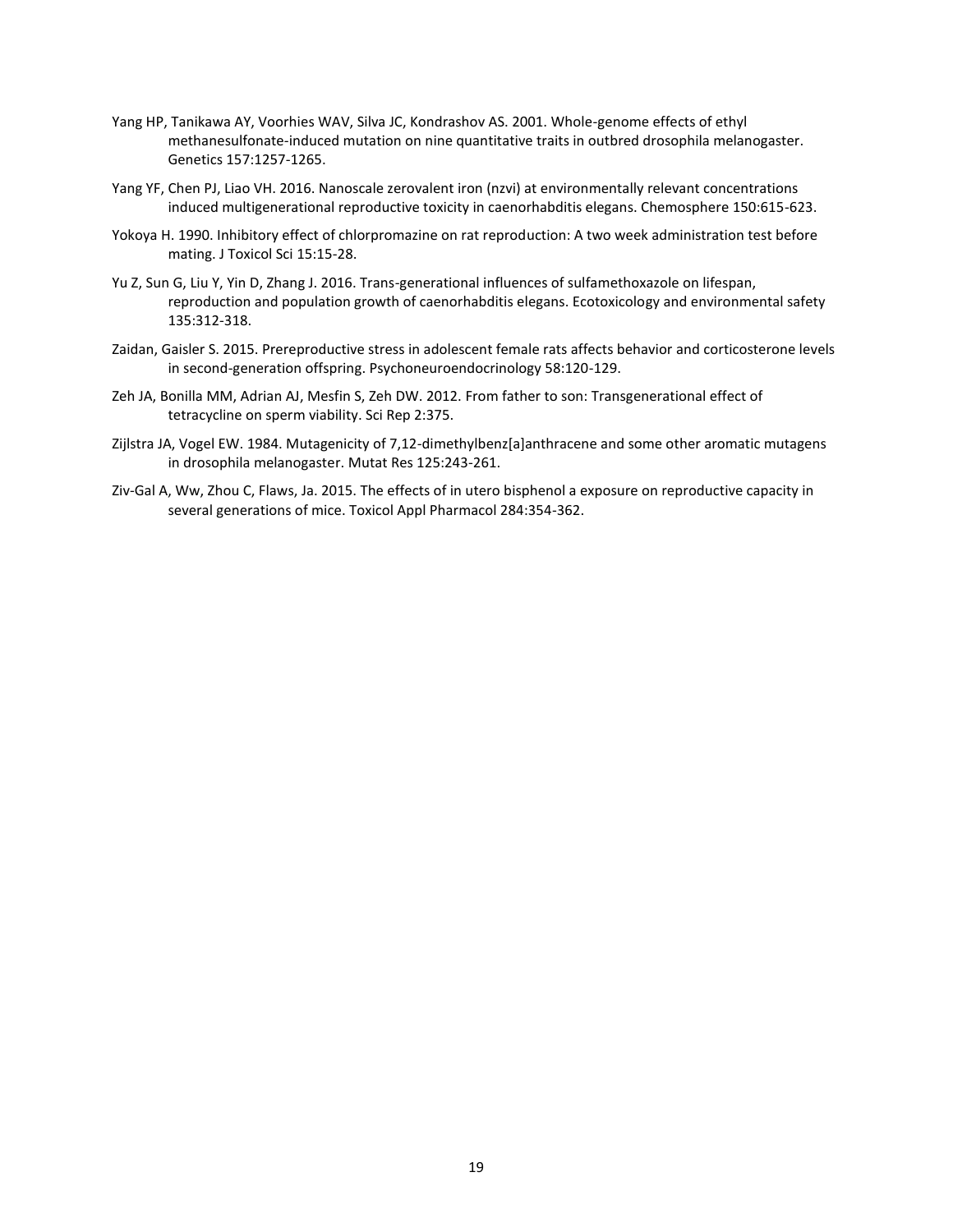- Yang HP, Tanikawa AY, Voorhies WAV, Silva JC, Kondrashov AS. 2001. Whole-genome effects of ethyl methanesulfonate-induced mutation on nine quantitative traits in outbred drosophila melanogaster. Genetics 157:1257-1265.
- Yang YF, Chen PJ, Liao VH. 2016. Nanoscale zerovalent iron (nzvi) at environmentally relevant concentrations induced multigenerational reproductive toxicity in caenorhabditis elegans. Chemosphere 150:615-623.
- Yokoya H. 1990. Inhibitory effect of chlorpromazine on rat reproduction: A two week administration test before mating. J Toxicol Sci 15:15-28.
- Yu Z, Sun G, Liu Y, Yin D, Zhang J. 2016. Trans-generational influences of sulfamethoxazole on lifespan, reproduction and population growth of caenorhabditis elegans. Ecotoxicology and environmental safety 135:312-318.
- Zaidan, Gaisler S. 2015. Prereproductive stress in adolescent female rats affects behavior and corticosterone levels in second-generation offspring. Psychoneuroendocrinology 58:120-129.
- Zeh JA, Bonilla MM, Adrian AJ, Mesfin S, Zeh DW. 2012. From father to son: Transgenerational effect of tetracycline on sperm viability. Sci Rep 2:375.
- Zijlstra JA, Vogel EW. 1984. Mutagenicity of 7,12-dimethylbenz[a]anthracene and some other aromatic mutagens in drosophila melanogaster. Mutat Res 125:243-261.
- Ziv-Gal A, Ww, Zhou C, Flaws, Ja. 2015. The effects of in utero bisphenol a exposure on reproductive capacity in several generations of mice. Toxicol Appl Pharmacol 284:354-362.